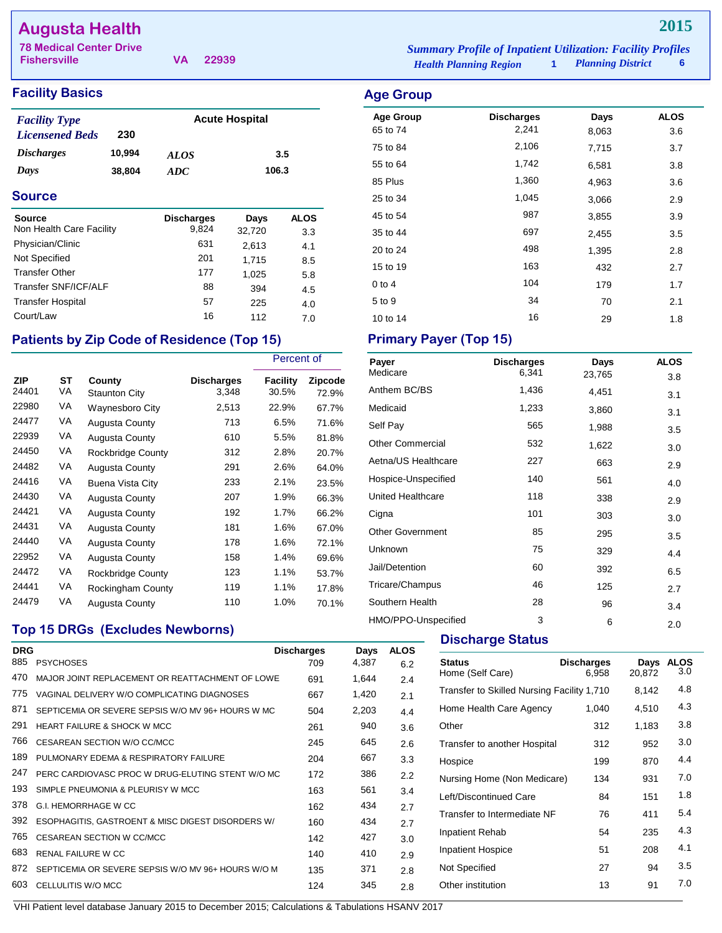# **Augusta Health**

| <b>78 Medical Center Drive</b> |  | <b>Summary Profile of Inpatient Utilization: Facility Profiles</b> |                               |                     |   |
|--------------------------------|--|--------------------------------------------------------------------|-------------------------------|---------------------|---|
| <b>Fishersville</b>            |  | VA 22939                                                           | <b>Health Planning Region</b> | 1 Planning District | 6 |

# **Facility Basics** Age Group 2013 and 2014 and 2014 and 2014 and 2014 and 2014 and 2014 and 2014 and 2014 and 2014 and 2014 and 2014 and 2014 and 2014 and 2014 and 2014 and 2014 and 2014 and 2014 and 2014 and 2014 and 2014

| <b>Facility Type</b>     |        |             | <b>Acute Hospital</b> |
|--------------------------|--------|-------------|-----------------------|
| <b>Licensened Beds</b>   | 230    |             |                       |
| <i><b>Discharges</b></i> | 10,994 | <b>ALOS</b> | 3.5                   |
| Days                     | 38,804 | ADC.        | 106.3                 |

### **Source**

| <b>Source</b><br>Non Health Care Facility | <b>Discharges</b><br>9,824 | Days            | <b>ALOS</b> |
|-------------------------------------------|----------------------------|-----------------|-------------|
| Physician/Clinic                          | 631                        | 32,720<br>2,613 | 3.3<br>4.1  |
| Not Specified                             | 201                        | 1,715           | 8.5         |
| <b>Transfer Other</b>                     | 177                        | 1,025           | 5.8         |
| Transfer SNF/ICF/ALF                      | 88                         | 394             | 4.5         |
| <b>Transfer Hospital</b>                  | 57                         | 225             | 4.0         |
| Court/Law                                 | 16                         | 112             | 7.0         |

# Patients by Zip Code of Residence (Top 15) **Primary Payer (Top 15)**

|                     |          |                         |                     | Percent of               |                  |
|---------------------|----------|-------------------------|---------------------|--------------------------|------------------|
| <b>ZIP</b><br>24401 | ST<br>VA | County<br>Staunton City | Discharges<br>3,348 | <b>Facility</b><br>30.5% | Zipcode<br>72.9% |
| 22980               | VA       | <b>Waynesboro City</b>  | 2,513               | 22.9%                    | 67.7%            |
| 24477               | VA       | <b>Augusta County</b>   | 713                 | 6.5%                     | 71.6%            |
| 22939               | VA       | <b>Augusta County</b>   | 610                 | 5.5%                     | 81.8%            |
| 24450               | VA       | Rockbridge County       | 312                 | 2.8%                     | 20.7%            |
| 24482               | VA       | <b>Augusta County</b>   | 291                 | 2.6%                     | 64.0%            |
| 24416               | VA       | Buena Vista City        | 233                 | 2.1%                     | 23.5%            |
| 24430               | VA       | <b>Augusta County</b>   | 207                 | 1.9%                     | 66.3%            |
| 24421               | VA       | <b>Augusta County</b>   | 192                 | 1.7%                     | 66.2%            |
| 24431               | VA       | Augusta County          | 181                 | 1.6%                     | 67.0%            |
| 24440               | VA       | Augusta County          | 178                 | 1.6%                     | 72.1%            |
| 22952               | VA       | <b>Augusta County</b>   | 158                 | 1.4%                     | 69.6%            |
| 24472               | VA       | Rockbridge County       | 123                 | 1.1%                     | 53.7%            |
| 24441               | VA       | Rockingham County       | 119                 | 1.1%                     | 17.8%            |
| 24479               | VA       | Augusta County          | 110                 | 1.0%                     | 70.1%            |

| <b>Age Group</b> |                   |       |             |
|------------------|-------------------|-------|-------------|
| <b>Age Group</b> | <b>Discharges</b> | Days  | <b>ALOS</b> |
| 65 to 74         | 2,241             | 8,063 | 3.6         |
| 75 to 84         | 2,106             | 7,715 | 3.7         |
| 55 to 64         | 1,742             | 6,581 | 3.8         |
| 85 Plus          | 1,360             | 4,963 | 3.6         |
| 25 to 34         | 1,045             | 3,066 | 2.9         |
| 45 to 54         | 987               | 3,855 | 3.9         |
| 35 to 44         | 697               | 2,455 | 3.5         |
| 20 to 24         | 498               | 1,395 | 2.8         |
| 15 to 19         | 163               | 432   | 2.7         |
| $0$ to 4         | 104               | 179   | 1.7         |
| 5 to 9           | 34                | 70    | 2.1         |
| 10 to 14         | 16                | 29    | 1.8         |

| Payer                   | <b>Discharges</b> | Days   | <b>ALOS</b> |
|-------------------------|-------------------|--------|-------------|
| Medicare                | 6,341             | 23,765 | 3.8         |
| Anthem BC/BS            | 1,436             | 4,451  | 3.1         |
| Medicaid                | 1,233             | 3,860  | 3.1         |
| Self Pay                | 565               | 1,988  | 3.5         |
| <b>Other Commercial</b> | 532               | 1,622  | 3.0         |
| Aetna/US Healthcare     | 227               | 663    | 2.9         |
| Hospice-Unspecified     | 140               | 561    | 4.0         |
| United Healthcare       | 118               | 338    | 2.9         |
| Cigna                   | 101               | 303    | 3.0         |
| <b>Other Government</b> | 85                | 295    | 3.5         |
| Unknown                 | 75                | 329    | 4.4         |
| Jail/Detention          | 60                | 392    | 6.5         |
| Tricare/Champus         | 46                | 125    | 2.7         |
| Southern Health         | 28                | 96     | 3.4         |
| HMO/PPO-Unspecified     | 3                 | 6      | 2.0         |

## **Top 15 DRGs (Excludes Newborns)**

| <b>DRG</b><br>885 | <b>PSYCHOSES</b>                                   | <b>Discharges</b><br>709 | Days<br>4,387 | <b>ALOS</b><br>6.2 |
|-------------------|----------------------------------------------------|--------------------------|---------------|--------------------|
| 470               | MAJOR JOINT REPLACEMENT OR REATTACHMENT OF LOWE    | 691                      | 1,644         | 2.4                |
| 775               | VAGINAL DELIVERY W/O COMPLICATING DIAGNOSES        | 667                      | 1,420         | 2.1                |
| 871               | SEPTICEMIA OR SEVERE SEPSIS W/O MV 96+ HOURS W MC  | 504                      | 2,203         | 4.4                |
| 291               | <b>HEART FAILURE &amp; SHOCK W MCC</b>             | 261                      | 940           | 3.6                |
| 766               | CESAREAN SECTION W/O CC/MCC                        | 245                      | 645           | 2.6                |
| 189               | PULMONARY EDEMA & RESPIRATORY FAILURE              | 204                      | 667           | 3.3                |
| 247               | PERC CARDIOVASC PROC W DRUG-ELUTING STENT W/O MC   | 172                      | 386           | 2.2                |
| 193               | SIMPLE PNEUMONIA & PLEURISY W MCC                  | 163                      | 561           | 3.4                |
| 378               | G.I. HEMORRHAGE W CC                               | 162                      | 434           | 2.7                |
| 392               | ESOPHAGITIS, GASTROENT & MISC DIGEST DISORDERS W/  | 160                      | 434           | 2.7                |
| 765               | CESAREAN SECTION W CC/MCC                          | 142                      | 427           | 3.0                |
| 683               | <b>RENAL FAILURE W CC</b>                          | 140                      | 410           | 2.9                |
| 872               | SEPTICEMIA OR SEVERE SEPSIS W/O MV 96+ HOURS W/O M | 135                      | 371           | 2.8                |
| 603               | CELLULITIS W/O MCC                                 | 124                      | 345           | 2.8                |

**Discharge Status** 

| <b>Status</b><br>Home (Self Care)          | <b>Discharges</b><br>6,958 | Days<br>20,872 | ALOS<br>3.0 |
|--------------------------------------------|----------------------------|----------------|-------------|
| Transfer to Skilled Nursing Facility 1,710 |                            | 8,142          | 4.8         |
| Home Health Care Agency                    | 1,040                      | 4,510          | 4.3         |
| Other                                      | 312                        | 1.183          | 3.8         |
| Transfer to another Hospital               | 312                        | 952            | 3.0         |
| Hospice                                    | 199                        | 870            | 4.4         |
| Nursing Home (Non Medicare)                | 134                        | 931            | 7.0         |
| Left/Discontinued Care                     | 84                         | 151            | 1.8         |
| Transfer to Intermediate NF                | 76                         | 411            | 5.4         |
| Inpatient Rehab                            | 54                         | 235            | 4.3         |
| <b>Inpatient Hospice</b>                   | 51                         | 208            | 4.1         |
| Not Specified                              | 27                         | 94             | 3.5         |
| Other institution                          | 13                         | 91             | 7.0         |
|                                            |                            |                |             |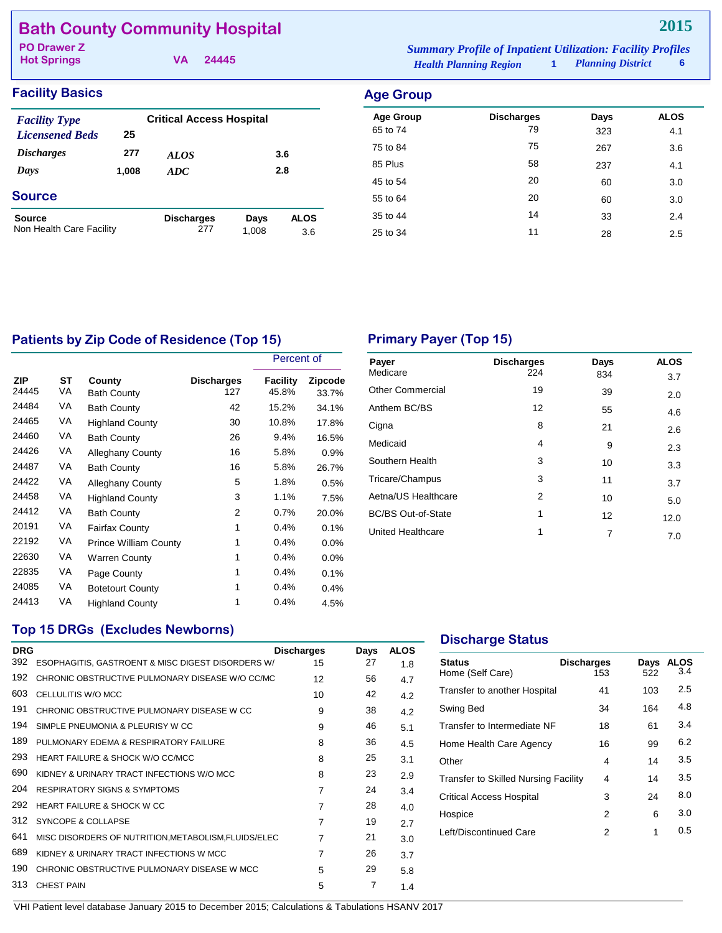|  | <b>Bath County Community Hospital</b> |  |
|--|---------------------------------------|--|
|--|---------------------------------------|--|

**Hot Springs**

**VA 24445**

*Health Planning Region* **1** *Planning District* **6 PO Drawer Z** *Summary Profile of Inpatient Utilization: Facility Profiles*

## **Facility Basics**

| <b>Facility Type</b><br><b>Licensened Beds</b> | 25    | <b>Critical Access Hospital</b> |               |                    |
|------------------------------------------------|-------|---------------------------------|---------------|--------------------|
| <i><b>Discharges</b></i>                       | 277   | <i>ALOS</i>                     |               | 3.6                |
| Days                                           | 1,008 | <b>ADC</b>                      |               | 2.8                |
| <b>Source</b>                                  |       |                                 |               |                    |
| Source<br>Non Health Care Facility             |       | <b>Discharges</b><br>277        | Days<br>1,008 | <b>ALOS</b><br>3.6 |

| <b>Age Group</b>             |                         |             |                    |
|------------------------------|-------------------------|-------------|--------------------|
| <b>Age Group</b><br>65 to 74 | <b>Discharges</b><br>79 | Days<br>323 | <b>ALOS</b><br>4.1 |
| 75 to 84                     | 75                      | 267         | 3.6                |
| 85 Plus                      | 58                      | 237         | 4.1                |
| 45 to 54                     | 20                      | 60          | 3.0                |
| 55 to 64                     | 20                      | 60          | 3.0                |
| 35 to 44                     | 14                      | 33          | 2.4                |
| 25 to 34                     | 11                      | 28          | 2.5                |

# Patients by Zip Code of Residence (Top 15) **Primary Payer (Top 15)**

|              |          |                              |                          | Percent of        |                         |
|--------------|----------|------------------------------|--------------------------|-------------------|-------------------------|
| ZIP<br>24445 | ST<br>VA | County<br><b>Bath County</b> | <b>Discharges</b><br>127 | Facility<br>45.8% | <b>Zipcode</b><br>33.7% |
| 24484        | VA       | <b>Bath County</b>           | 42                       | 15.2%             | 34.1%                   |
| 24465        | VA       | <b>Highland County</b>       | 30                       | 10.8%             | 17.8%                   |
| 24460        | VA       | <b>Bath County</b>           | 26                       | 9.4%              | 16.5%                   |
| 24426        | VA       | <b>Alleghany County</b>      | 16                       | 5.8%              | 0.9%                    |
| 24487        | VA       | <b>Bath County</b>           | 16                       | 5.8%              | 26.7%                   |
| 24422        | VA       | <b>Alleghany County</b>      | 5                        | 1.8%              | 0.5%                    |
| 24458        | VA       | <b>Highland County</b>       | 3                        | 1.1%              | 7.5%                    |
| 24412        | VA       | <b>Bath County</b>           | 2                        | 0.7%              | 20.0%                   |
| 20191        | VA       | <b>Fairfax County</b>        | 1                        | 0.4%              | 0.1%                    |
| 22192        | VA       | <b>Prince William County</b> | 1                        | 0.4%              | 0.0%                    |
| 22630        | VA       | <b>Warren County</b>         | 1                        | 0.4%              | $0.0\%$                 |
| 22835        | VA       | Page County                  | 1                        | 0.4%              | 0.1%                    |
| 24085        | VA       | <b>Botetourt County</b>      | 1                        | 0.4%              | 0.4%                    |
| 24413        | VA       | <b>Highland County</b>       | 1                        | 0.4%              | 4.5%                    |

| Payer<br>Medicare         | <b>Discharges</b><br>224 | Days<br>834 | <b>ALOS</b><br>3.7 |
|---------------------------|--------------------------|-------------|--------------------|
| <b>Other Commercial</b>   | 19                       | 39          | 2.0                |
| Anthem BC/BS              | 12                       | 55          | 4.6                |
| Cigna                     | 8                        | 21          | 2.6                |
| Medicaid                  | 4                        | 9           | 2.3                |
| Southern Health           | 3                        | 10          | 3.3                |
| Tricare/Champus           | 3                        | 11          | 3.7                |
| Aetna/US Healthcare       | 2                        | 10          | 5.0                |
| <b>BC/BS Out-of-State</b> | 1                        | 12          | 12.0               |
| United Healthcare         | 1                        | 7           | 7.0                |
|                           |                          |             |                    |

### **Top 15 DRGs (Excludes Newborns)**

| <b>DRG</b>                                  | <b>Discharges</b> | Days                                                                                                                                                         | <b>ALOS</b> |
|---------------------------------------------|-------------------|--------------------------------------------------------------------------------------------------------------------------------------------------------------|-------------|
|                                             | 15                | 27                                                                                                                                                           | 1.8         |
|                                             | 12                | 56                                                                                                                                                           | 4.7         |
| CELLULITIS W/O MCC                          | 10                | 42                                                                                                                                                           | 4.2         |
| CHRONIC OBSTRUCTIVE PULMONARY DISEASE W CC  | 9                 | 38                                                                                                                                                           | 4.2         |
| SIMPLE PNEUMONIA & PLEURISY W CC            | 9                 | 46                                                                                                                                                           | 5.1         |
| PULMONARY EDEMA & RESPIRATORY FAILURE       | 8                 | 36                                                                                                                                                           | 4.5         |
| HEART FAILURE & SHOCK W/O CC/MCC            | 8                 | 25                                                                                                                                                           | 3.1         |
| KIDNEY & URINARY TRACT INFECTIONS W/O MCC   | 8                 | 23                                                                                                                                                           | 2.9         |
| <b>RESPIRATORY SIGNS &amp; SYMPTOMS</b>     | $\overline{7}$    | 24                                                                                                                                                           | 3.4         |
| <b>HEART FAILURE &amp; SHOCK W CC</b>       | 7                 | 28                                                                                                                                                           | 4.0         |
| SYNCOPE & COLLAPSE                          | $\overline{7}$    | 19                                                                                                                                                           | 2.7         |
|                                             | $\overline{7}$    | 21                                                                                                                                                           | 3.0         |
| KIDNEY & URINARY TRACT INFECTIONS W MCC     | 7                 | 26                                                                                                                                                           | 3.7         |
| CHRONIC OBSTRUCTIVE PULMONARY DISEASE W MCC | 5                 | 29                                                                                                                                                           | 5.8         |
| <b>CHEST PAIN</b>                           | 5                 | 7                                                                                                                                                            | 1.4         |
|                                             |                   | ESOPHAGITIS, GASTROENT & MISC DIGEST DISORDERS W/<br>CHRONIC OBSTRUCTIVE PULMONARY DISEASE W/O CC/MC<br>MISC DISORDERS OF NUTRITION, METABOLISM, FLUIDS/ELEC |             |

### **Discharge Status**

| <b>Status</b><br>Home (Self Care)    | <b>Discharges</b><br>153 | Days<br>522 | <b>ALOS</b><br>3.4 |
|--------------------------------------|--------------------------|-------------|--------------------|
| Transfer to another Hospital         | 41                       | 103         | 2.5                |
| Swing Bed                            | 34                       | 164         | 4.8                |
| Transfer to Intermediate NF          | 18                       | 61          | 3.4                |
| Home Health Care Agency              | 16                       | 99          | 6.2                |
| Other                                | 4                        | 14          | 3.5                |
| Transfer to Skilled Nursing Facility | 4                        | 14          | 3.5                |
| Critical Access Hospital             | 3                        | 24          | 8.0                |
| Hospice                              | 2                        | 6           | 3.0                |
| Left/Discontinued Care               | 2                        | 1           | 0.5                |
|                                      |                          |             |                    |
|                                      |                          |             |                    |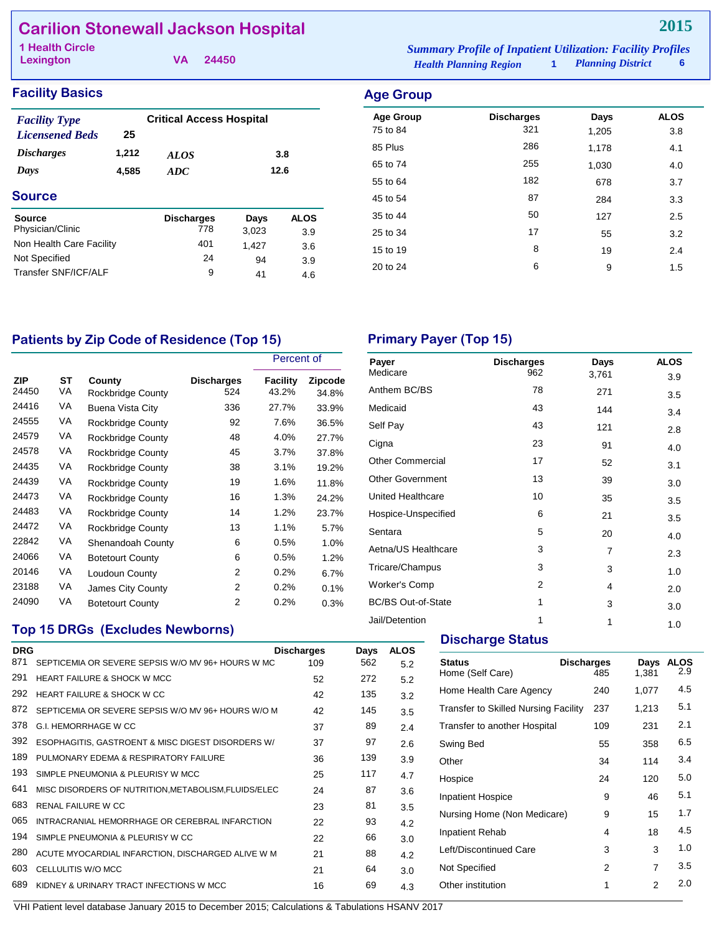# **Carilion Stonewall Jackson Hospital**

**Lexington**

**VA 24450**

*Health Planning Region* **1** *Planning District* **6 1 Health Circle** *Summary Profile of Inpatient Utilization: Facility Profiles*

#### **Facility Basics Age Group**

| <b>Facility Type</b><br><b>Licensened Beds</b> | 25    | <b>Critical Access Hospital</b> |       |             |
|------------------------------------------------|-------|---------------------------------|-------|-------------|
| <i><b>Discharges</b></i>                       | 1,212 | <b>ALOS</b>                     |       | 3.8         |
| Days                                           | 4,585 | <b>ADC</b>                      |       | 12.6        |
| <b>Source</b>                                  |       |                                 |       |             |
| Source                                         |       | <b>Discharges</b>               | Days  | <b>ALOS</b> |
| Physician/Clinic                               |       | 778                             | 3,023 | 3.9         |
| Non Health Care Facility                       |       | 401                             | 1,427 | 3.6         |
| Not Specified                                  |       | 24                              | 94    | 3.9         |
| Transfer SNF/ICF/AI F                          |       | 9                               | 41    | 4.6         |
|                                                |       |                                 |       |             |

| ngo oroap        |                   |       |             |
|------------------|-------------------|-------|-------------|
| <b>Age Group</b> | <b>Discharges</b> | Days  | <b>ALOS</b> |
| 75 to 84         | 321               | 1,205 | 3.8         |
| 85 Plus          | 286               | 1,178 | 4.1         |
| 65 to 74         | 255               | 1,030 | 4.0         |
| 55 to 64         | 182               | 678   | 3.7         |
| 45 to 54         | 87                | 284   | 3.3         |
| 35 to 44         | 50                | 127   | 2.5         |
| 25 to 34         | 17                | 55    | 3.2         |
| 15 to 19         | 8                 | 19    | 2.4         |
| 20 to 24         | 6                 | 9     | 1.5         |
|                  |                   |       |             |

# Patients by Zip Code of Residence (Top 15) Primary Payer (Top 15)

|                     |          |                                    |                          | Percent of        |                  |
|---------------------|----------|------------------------------------|--------------------------|-------------------|------------------|
| <b>ZIP</b><br>24450 | ST<br>VA | County<br><b>Rockbridge County</b> | <b>Discharges</b><br>524 | Facility<br>43.2% | Zipcode<br>34.8% |
| 24416               | VA       | Buena Vista City                   | 336                      | 27.7%             | 33.9%            |
| 24555               | VA       | Rockbridge County                  | 92                       | 7.6%              | 36.5%            |
| 24579               | VA       | Rockbridge County                  | 48                       | 4.0%              | 27.7%            |
| 24578               | VA       | Rockbridge County                  | 45                       | 3.7%              | 37.8%            |
| 24435               | VA       | Rockbridge County                  | 38                       | 3.1%              | 19.2%            |
| 24439               | VA       | Rockbridge County                  | 19                       | 1.6%              | 11.8%            |
| 24473               | VA       | Rockbridge County                  | 16                       | 1.3%              | 24.2%            |
| 24483               | VA       | Rockbridge County                  | 14                       | 1.2%              | 23.7%            |
| 24472               | VA       | Rockbridge County                  | 13                       | 1.1%              | 5.7%             |
| 22842               | VA       | Shenandoah County                  | 6                        | 0.5%              | 1.0%             |
| 24066               | VA       | <b>Botetourt County</b>            | 6                        | 0.5%              | 1.2%             |
| 20146               | VA       | Loudoun County                     | 2                        | 0.2%              | 6.7%             |
| 23188               | VA       | James City County                  | 2                        | 0.2%              | 0.1%             |
| 24090               | VA       | <b>Botetourt County</b>            | 2                        | 0.2%              | 0.3%             |

| Payer<br>Medicare         | <b>Discharges</b><br>962 | Days  | <b>ALOS</b> |
|---------------------------|--------------------------|-------|-------------|
|                           |                          | 3,761 | 3.9         |
| Anthem BC/BS              | 78                       | 271   | 3.5         |
| Medicaid                  | 43                       | 144   | 3.4         |
| Self Pay                  | 43                       | 121   | 2.8         |
| Cigna                     | 23                       | 91    | 4.0         |
| <b>Other Commercial</b>   | 17                       | 52    | 3.1         |
| <b>Other Government</b>   | 13                       | 39    | 3.0         |
| United Healthcare         | 10                       | 35    | 3.5         |
| Hospice-Unspecified       | 6                        | 21    | 3.5         |
| Sentara                   | 5                        | 20    | 4.0         |
| Aetna/US Healthcare       | 3                        | 7     | 2.3         |
| Tricare/Champus           | 3                        | 3     | 1.0         |
| <b>Worker's Comp</b>      | 2                        | 4     | 2.0         |
| <b>BC/BS Out-of-State</b> | 1                        | 3     | 3.0         |
| Jail/Detention            | 1                        | 1     | 1.0         |

# **Top 15 DRGs (Excludes Newborns)**

| <b>DRG</b> |                                                      | <b>Discharges</b> | Days | <b>ALOS</b> |
|------------|------------------------------------------------------|-------------------|------|-------------|
| 871        | SEPTICEMIA OR SEVERE SEPSIS W/O MV 96+ HOURS W MC    | 109               | 562  | 5.2         |
| 291        | <b>HEART FAILURE &amp; SHOCK W MCC</b>               | 52                | 272  | 5.2         |
| 292        | HEART FAILURE & SHOCK W CC                           | 42                | 135  | 3.2         |
| 872        | SEPTICEMIA OR SEVERE SEPSIS W/O MV 96+ HOURS W/O M   | 42                | 145  | 3.5         |
| 378        | G.I. HEMORRHAGE W CC                                 | 37                | 89   | 2.4         |
| 392        | ESOPHAGITIS, GASTROENT & MISC DIGEST DISORDERS W/    | 37                | 97   | 2.6         |
| 189        | PULMONARY EDEMA & RESPIRATORY FAILURE                | 36                | 139  | 3.9         |
| 193        | SIMPLE PNEUMONIA & PLEURISY W MCC                    | 25                | 117  | 4.7         |
| 641        | MISC DISORDERS OF NUTRITION, METABOLISM, FLUIDS/ELEC | 24                | 87   | 3.6         |
| 683        | <b>RENAL FAILURE W CC</b>                            | 23                | 81   | 3.5         |
| 065        | INTRACRANIAL HEMORRHAGE OR CEREBRAL INFARCTION       | 22                | 93   | 4.2         |
| 194        | SIMPLE PNEUMONIA & PLEURISY W CC                     | 22                | 66   | 3.0         |
| 280        | ACUTE MYOCARDIAL INFARCTION, DISCHARGED ALIVE W M    | 21                | 88   | 4.2         |
| 603        | CELLULITIS W/O MCC                                   | 21                | 64   | 3.0         |
| 689        | KIDNEY & URINARY TRACT INFECTIONS W MCC              | 16                | 69   | 4.3         |
|            |                                                      |                   |      |             |

#### **Discharge Status**

| <b>Status</b><br>Home (Self Care)           | <b>Discharges</b><br>485 | Days<br>1,381 | <b>ALOS</b><br>2.9 |
|---------------------------------------------|--------------------------|---------------|--------------------|
| Home Health Care Agency                     | 240                      | 1,077         | 4.5                |
| <b>Transfer to Skilled Nursing Facility</b> | 237                      | 1,213         | 5.1                |
| Transfer to another Hospital                | 109                      | 231           | 2.1                |
| Swing Bed                                   | 55                       | 358           | 6.5                |
| Other                                       | 34                       | 114           | 3.4                |
| Hospice                                     | 24                       | 120           | 5.0                |
| <b>Inpatient Hospice</b>                    | 9                        | 46            | 5.1                |
| Nursing Home (Non Medicare)                 | 9                        | 15            | 1.7                |
| <b>Inpatient Rehab</b>                      | 4                        | 18            | 4.5                |
| Left/Discontinued Care                      | 3                        | 3             | 1.0                |
| Not Specified                               | 2                        | 7             | 3.5                |
| Other institution                           | 1                        | 2             | 2.0                |
|                                             |                          |               |                    |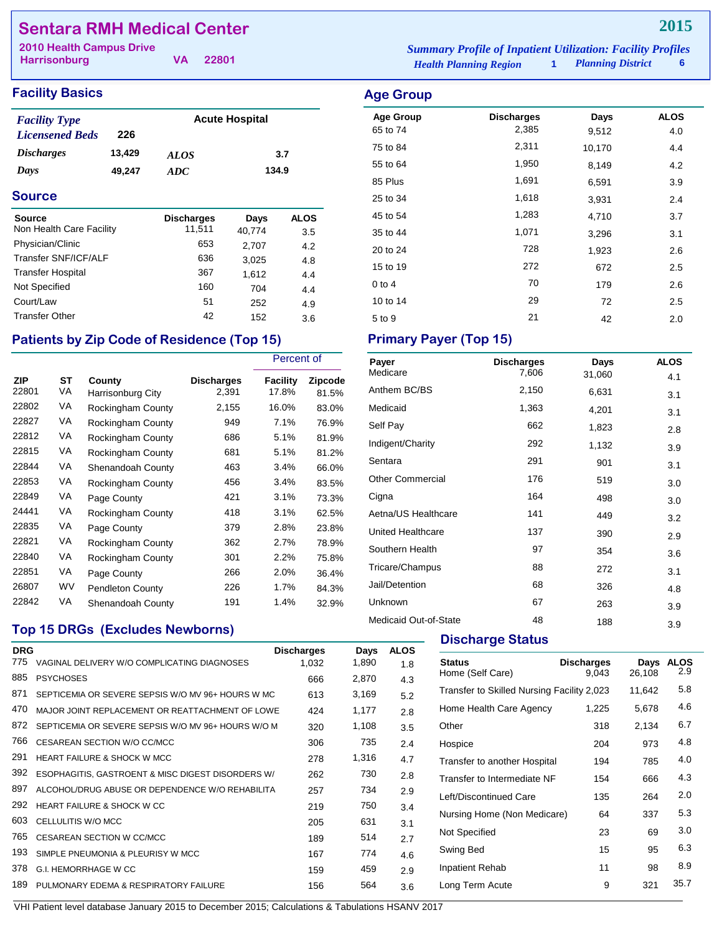# **Sentara RMH Medical Center**

**Harrisonburg**

**VA 22801**

#### **Facility Basics Age Group Age Group**

| <b>Facility Type</b>     |        | <b>Acute Hospital</b> |       |  |
|--------------------------|--------|-----------------------|-------|--|
| <b>Licensened Beds</b>   | 226    |                       |       |  |
| <i><b>Discharges</b></i> | 13,429 | <b>ALOS</b>           | 3.7   |  |
| Days                     | 49.247 | ADC.                  | 134.9 |  |

#### **Source**

| <b>Source</b>            | <b>Discharges</b> | Days   | <b>ALOS</b> |
|--------------------------|-------------------|--------|-------------|
| Non Health Care Facility | 11,511            | 40,774 | 3.5         |
| Physician/Clinic         | 653               | 2,707  | 4.2         |
| Transfer SNF/ICF/ALF     | 636               | 3,025  | 4.8         |
| <b>Transfer Hospital</b> | 367               | 1.612  | 4.4         |
| Not Specified            | 160               | 704    | 4.4         |
| Court/Law                | 51                | 252    | 4.9         |
| <b>Transfer Other</b>    | 42                | 152    | 3.6         |

# Patients by Zip Code of Residence (Top 15) Primary Payer (Top 15)

|                     |          |                             |                            | Percent of        |                         |
|---------------------|----------|-----------------------------|----------------------------|-------------------|-------------------------|
| <b>ZIP</b><br>22801 | SТ<br>VA | County<br>Harrisonburg City | <b>Discharges</b><br>2,391 | Facility<br>17.8% | <b>Zipcode</b><br>81.5% |
| 22802               | VA       | Rockingham County           | 2,155                      | 16.0%             | 83.0%                   |
| 22827               | VA       | Rockingham County           | 949                        | 7.1%              | 76.9%                   |
| 22812               | VA       | Rockingham County           | 686                        | 5.1%              | 81.9%                   |
| 22815               | VA       | Rockingham County           | 681                        | 5.1%              | 81.2%                   |
| 22844               | VA       | Shenandoah County           | 463                        | 3.4%              | 66.0%                   |
| 22853               | VA       | Rockingham County           | 456                        | 3.4%              | 83.5%                   |
| 22849               | VA       | Page County                 | 421                        | 3.1%              | 73.3%                   |
| 24441               | VA       | Rockingham County           | 418                        | 3.1%              | 62.5%                   |
| 22835               | VA       | Page County                 | 379                        | 2.8%              | 23.8%                   |
| 22821               | VA       | Rockingham County           | 362                        | 2.7%              | 78.9%                   |
| 22840               | VA       | Rockingham County           | 301                        | 2.2%              | 75.8%                   |
| 22851               | VA       | Page County                 | 266                        | 2.0%              | 36.4%                   |
| 26807               | WV       | <b>Pendleton County</b>     | 226                        | 1.7%              | 84.3%                   |
| 22842               | VA       | Shenandoah County           | 191                        | 1.4%              | 32.9%                   |

# **Top 15 DRGs (Excludes Newborns)**

| <b>DRG</b><br>775 |                                                    | <b>Discharges</b> | Days  | <b>ALOS</b> |
|-------------------|----------------------------------------------------|-------------------|-------|-------------|
|                   | VAGINAL DELIVERY W/O COMPLICATING DIAGNOSES        | 1,032             | 1,890 | 1.8         |
| 885               | <b>PSYCHOSES</b>                                   | 666               | 2,870 | 4.3         |
| 871               | SEPTICEMIA OR SEVERE SEPSIS W/O MV 96+ HOURS W MC  | 613               | 3,169 | 5.2         |
| 470               | MAJOR JOINT REPLACEMENT OR REATTACHMENT OF LOWE    | 424               | 1,177 | 2.8         |
| 872               | SEPTICEMIA OR SEVERE SEPSIS W/O MV 96+ HOURS W/O M | 320               | 1,108 | 3.5         |
| 766               | CESAREAN SECTION W/O CC/MCC                        | 306               | 735   | 2.4         |
| 291               | <b>HEART FAILURE &amp; SHOCK W MCC</b>             | 278               | 1,316 | 4.7         |
| 392               | ESOPHAGITIS, GASTROENT & MISC DIGEST DISORDERS W/  | 262               | 730   | 2.8         |
| 897               | ALCOHOL/DRUG ABUSE OR DEPENDENCE W/O REHABILITA    | 257               | 734   | 2.9         |
| 292               | HEART FAILURE & SHOCK WICC.                        | 219               | 750   | 3.4         |
| 603               | CELLULITIS W/O MCC                                 | 205               | 631   | 3.1         |
| 765               | CESAREAN SECTION W CC/MCC                          | 189               | 514   | 2.7         |
| 193               | SIMPLE PNEUMONIA & PLEURISY W MCC                  | 167               | 774   | 4.6         |
| 378               | <b>G.I. HEMORRHAGE W CC</b>                        | 159               | 459   | 2.9         |
| 189               | PULMONARY EDEMA & RESPIRATORY FAILURE              | 156               | 564   | 3.6         |
|                   |                                                    |                   |       |             |

*Health Planning Region* **1** *Planning District* **6 2010 Health Campus Drive** *Summary Profile of Inpatient Utilization: Facility Profiles*

# Age Group **Discharges** Days ALOS 65 to 74 2,385 9,512 4.0 75 to 84 2,311 10,170 4.4 55 to 64 1,950 8,149 4.2 85 Plus 1,691 6,591 3.9 25 to 34 **1,618** 3,931 2.4 45 to 54 1,283 4,710 3.7 35 to 44 1,071 3,296 3.1 20 to 24 20 2.6 15 to 19 272 672 2.5 0 to 4 2.6

10 to 14 29 72 2.5  $5 \text{ to } 9$  21 42 2.0

| Payer                   | <b>Discharges</b> | Days   | <b>ALOS</b> |
|-------------------------|-------------------|--------|-------------|
| Medicare                | 7,606             | 31,060 | 4.1         |
| Anthem BC/BS            | 2,150             | 6,631  | 3.1         |
| Medicaid                | 1,363             | 4,201  | 3.1         |
| Self Pay                | 662               | 1,823  | 2.8         |
| Indigent/Charity        | 292               | 1,132  | 3.9         |
| Sentara                 | 291               | 901    | 3.1         |
| <b>Other Commercial</b> | 176               | 519    | 3.0         |
| Cigna                   | 164               | 498    | 3.0         |
| Aetna/US Healthcare     | 141               | 449    | 3.2         |
| United Healthcare       | 137               | 390    | 2.9         |
| Southern Health         | 97                | 354    | 3.6         |
| Tricare/Champus         | 88                | 272    | 3.1         |
| Jail/Detention          | 68                | 326    | 4.8         |
| Unknown                 | 67                | 263    | 3.9         |
| Medicaid Out-of-State   | 48                | 188    | 3.9         |

#### **Discharge Status**

| <b>Discharges</b><br>9.043 | Days<br>26,108                                                                                                                           | <b>ALOS</b><br>2.9 |
|----------------------------|------------------------------------------------------------------------------------------------------------------------------------------|--------------------|
|                            | 11,642                                                                                                                                   | 5.8                |
| 1,225                      | 5,678                                                                                                                                    | 4.6                |
| 318                        | 2.134                                                                                                                                    | 6.7                |
| 204                        | 973                                                                                                                                      | 4.8                |
| 194                        | 785                                                                                                                                      | 4.0                |
| 154                        | 666                                                                                                                                      | 4.3                |
| 135                        | 264                                                                                                                                      | 2.0                |
| 64                         | 337                                                                                                                                      | 5.3                |
| 23                         | 69                                                                                                                                       | 3.0                |
| 15                         | 95                                                                                                                                       | 6.3                |
| 11                         | 98                                                                                                                                       | 8.9                |
| 9                          | 321                                                                                                                                      | 35.7               |
|                            | Transfer to Skilled Nursing Facility 2,023<br>Transfer to another Hospital<br>Transfer to Intermediate NF<br>Nursing Home (Non Medicare) |                    |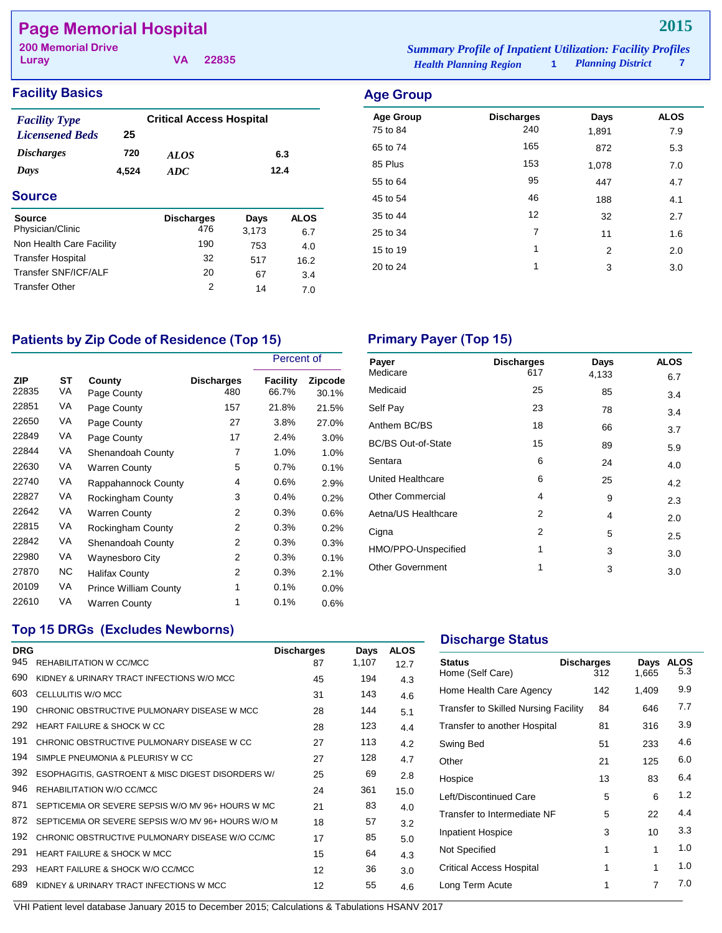# **Page Memorial Hospital**

**Luray**

*Health Planning Region* **1** *Planning District* **7 200 Memorial Drive** *Summary Profile of Inpatient Utilization: Facility Profiles*

### **Facility Basics Age Group**

| <b>Facility Type</b><br><b>Licensened Beds</b> | 25    | <b>Critical Access Hospital</b> |       |             |
|------------------------------------------------|-------|---------------------------------|-------|-------------|
| <i><b>Discharges</b></i>                       | 720   | <i>ALOS</i>                     |       | 6.3         |
| Days                                           | 4.524 | 12.4<br><b>ADC</b>              |       |             |
| <b>Source</b>                                  |       |                                 |       |             |
| Source                                         |       | <b>Discharges</b>               | Days  | <b>ALOS</b> |
| Physician/Clinic                               |       | 476                             | 3,173 | 6.7         |
| Non Health Care Facility                       |       | 190                             | 753   | 4.0         |
| <b>Transfer Hospital</b>                       |       | 32                              | 517   | 16.2        |
| Transfer SNF/ICF/ALF                           |       | 20                              | 67    | 3.4         |
| <b>Transfer Other</b>                          |       | 2                               | 14    | 7.0         |

**VA 22835**

| Aye Group        |                   |                |             |
|------------------|-------------------|----------------|-------------|
| <b>Age Group</b> | <b>Discharges</b> | Days           | <b>ALOS</b> |
| 75 to 84         | 240               | 1,891          | 7.9         |
| 65 to 74         | 165               | 872            | 5.3         |
| 85 Plus          | 153               | 1,078          | 7.0         |
| 55 to 64         | 95                | 447            | 4.7         |
| 45 to 54         | 46                | 188            | 4.1         |
| 35 to 44         | 12                | 32             | 2.7         |
| 25 to 34         | 7                 | 11             | 1.6         |
| 15 to 19         | 1                 | $\overline{2}$ | 2.0         |
| 20 to 24         | 1                 | 3              | 3.0         |
|                  |                   |                |             |

# Patients by Zip Code of Residence (Top 15) Primary Payer (Top 15)

|                     |          |                              |                          | Percent of        |                         |
|---------------------|----------|------------------------------|--------------------------|-------------------|-------------------------|
| <b>ZIP</b><br>22835 | SТ<br>VA | County<br>Page County        | <b>Discharges</b><br>480 | Facility<br>66.7% | <b>Zipcode</b><br>30.1% |
| 22851               | VA       | Page County                  | 157                      | 21.8%             | 21.5%                   |
| 22650               | VA       | Page County                  | 27                       | 3.8%              | 27.0%                   |
| 22849               | VA       | Page County                  | 17                       | 2.4%              | $3.0\%$                 |
| 22844               | VA       | Shenandoah County            | 7                        | 1.0%              | 1.0%                    |
| 22630               | VA       | <b>Warren County</b>         | 5                        | 0.7%              | 0.1%                    |
| 22740               | VA       | Rappahannock County          | 4                        | 0.6%              | 2.9%                    |
| 22827               | VA       | Rockingham County            | 3                        | 0.4%              | 0.2%                    |
| 22642               | VA       | <b>Warren County</b>         | 2                        | 0.3%              | 0.6%                    |
| 22815               | VA       | Rockingham County            | 2                        | 0.3%              | 0.2%                    |
| 22842               | VA       | Shenandoah County            | 2                        | 0.3%              | 0.3%                    |
| 22980               | VA       | <b>Waynesboro City</b>       | 2                        | 0.3%              | 0.1%                    |
| 27870               | NC.      | Halifax County               | 2                        | 0.3%              | 2.1%                    |
| 20109               | VA       | <b>Prince William County</b> | 1                        | 0.1%              | $0.0\%$                 |
| 22610               | VA       | <b>Warren County</b>         | 1                        | 0.1%              | 0.6%                    |

| Payer                     | <b>Discharges</b> | Days  | <b>ALOS</b> |
|---------------------------|-------------------|-------|-------------|
| Medicare                  | 617               | 4,133 | 6.7         |
| Medicaid                  | 25                | 85    | 3.4         |
| Self Pay                  | 23                | 78    | 3.4         |
| Anthem BC/BS              | 18                | 66    | 3.7         |
| <b>BC/BS Out-of-State</b> | 15                | 89    | 5.9         |
| Sentara                   | 6                 | 24    | 4.0         |
| United Healthcare         | 6                 | 25    | 4.2         |
| <b>Other Commercial</b>   | 4                 | 9     | 2.3         |
| Aetna/US Healthcare       | 2                 | 4     | 2.0         |
| Cigna                     | 2                 | 5     | 2.5         |
| HMO/PPO-Unspecified       | 1                 | 3     | 3.0         |
| <b>Other Government</b>   | 1                 | 3     | 3.0         |

### **Top 15 DRGs (Excludes Newborns)**

| <b>DRG</b><br>945 | REHABILITATION W CC/MCC                            | <b>Discharges</b><br>87 | Days<br>1,107 | <b>ALOS</b><br>12.7 |
|-------------------|----------------------------------------------------|-------------------------|---------------|---------------------|
| 690               | KIDNEY & URINARY TRACT INFECTIONS W/O MCC          | 45                      | 194           | 4.3                 |
| 603               | CELLULITIS W/O MCC                                 | 31                      | 143           | 4.6                 |
| 190               | CHRONIC OBSTRUCTIVE PULMONARY DISEASE W MCC        | 28                      | 144           | 5.1                 |
| 292               | HEART FAILURE & SHOCK WICC                         | 28                      | 123           | 4.4                 |
| 191               | CHRONIC OBSTRUCTIVE PULMONARY DISEASE W CC         | 27                      | 113           | 4.2                 |
| 194               | SIMPLE PNEUMONIA & PLEURISY W CC                   | 27                      | 128           | 4.7                 |
| 392               | ESOPHAGITIS, GASTROENT & MISC DIGEST DISORDERS W/  | 25                      | 69            | 2.8                 |
| 946               | REHABILITATION W/O CC/MCC                          | 24                      | 361           | 15.0                |
| 871               | SEPTICEMIA OR SEVERE SEPSIS W/O MV 96+ HOURS W MC  | 21                      | 83            | 4.0                 |
| 872               | SEPTICEMIA OR SEVERE SEPSIS W/O MV 96+ HOURS W/O M | 18                      | 57            | 3.2                 |
| 192               | CHRONIC OBSTRUCTIVE PULMONARY DISEASE W/O CC/MC    | 17                      | 85            | 5.0                 |
| 291               | <b>HEART FAILURE &amp; SHOCK W MCC</b>             | 15                      | 64            | 4.3                 |
| 293               | HEART FAILURE & SHOCK W/O CC/MCC                   | $12 \overline{ }$       | 36            | 3.0                 |
| 689               | KIDNEY & URINARY TRACT INFECTIONS W MCC            | 12                      | 55            | 4.6                 |
|                   |                                                    |                         |               |                     |

### **Discharge Status**

| <b>Status</b><br>Home (Self Care)           | <b>Discharges</b><br>312 | Days<br>1,665 | <b>ALOS</b><br>5.3 |
|---------------------------------------------|--------------------------|---------------|--------------------|
| Home Health Care Agency                     | 142                      | 1,409         | 9.9                |
| <b>Transfer to Skilled Nursing Facility</b> | 84                       | 646           | 7.7                |
| Transfer to another Hospital                | 81                       | 316           | 3.9                |
| Swing Bed                                   | 51                       | 233           | 4.6                |
| Other                                       | 21                       | 125           | 6.0                |
| Hospice                                     | 13                       | 83            | 6.4                |
| Left/Discontinued Care                      | 5                        | 6             | 1.2                |
| Transfer to Intermediate NF                 | 5                        | 22            | 4.4                |
| <b>Inpatient Hospice</b>                    | 3                        | 10            | 3.3                |
| Not Specified                               | 1                        | 1             | 1.0                |
| Critical Access Hospital                    | 1                        | 1             | 1.0                |
| Long Term Acute                             |                          | 7             | 7.0                |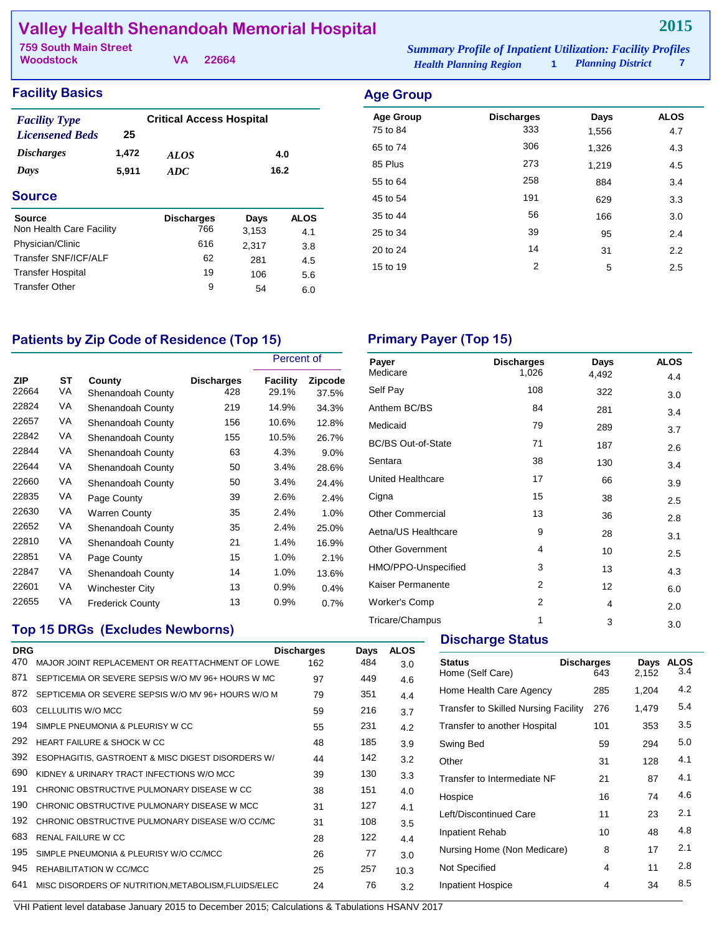# **Valley Health Shenandoah Memorial Hospital**

| 759 South Main Street |  | <b>Summary Profile of Inpatient Utilization: Facility Profiles</b> |                               |                          |  |
|-----------------------|--|--------------------------------------------------------------------|-------------------------------|--------------------------|--|
| Woodstock             |  | VA 22664                                                           | <b>Health Planning Region</b> | <b>Planning District</b> |  |

**2015**

## **Facility Basics**

| <b>Facility Type</b><br><b>Licensened Beds</b> | 25    | <b>Critical Access Hospital</b> |       |             |
|------------------------------------------------|-------|---------------------------------|-------|-------------|
| <i><b>Discharges</b></i>                       | 1,472 | <b>ALOS</b>                     |       | 4.0         |
| Days                                           | 5.911 | ADC                             |       | 16.2        |
| Source                                         |       |                                 |       |             |
| Source                                         |       | <b>Discharges</b>               | Days  | <b>ALOS</b> |
| Non Health Care Facility                       |       | 766                             | 3,153 | 4.1         |
| Physician/Clinic                               |       | 616                             | 2,317 | 3.8         |
| Transfer SNF/ICF/ALF                           |       | 62                              | 281   | 4.5         |
| <b>Transfer Hospital</b>                       |       | 19                              | 106   | 5.6         |
| <b>Transfer Other</b>                          |       | 9                               | 54    | 6.0         |

| <b>Age Group</b> |                   |       |             |
|------------------|-------------------|-------|-------------|
| <b>Age Group</b> | <b>Discharges</b> | Days  | <b>ALOS</b> |
| 75 to 84         | 333               | 1,556 | 4.7         |
| 65 to 74         | 306               | 1,326 | 4.3         |
| 85 Plus          | 273               | 1,219 | 4.5         |
| 55 to 64         | 258               | 884   | 3.4         |
| 45 to 54         | 191               | 629   | 3.3         |
| 35 to 44         | 56                | 166   | 3.0         |
| 25 to 34         | 39                | 95    | 2.4         |
| 20 to 24         | 14                | 31    | 2.2         |
| 15 to 19         | 2                 | 5     | 2.5         |
|                  |                   |       |             |

# Patients by Zip Code of Residence (Top 15) **Primary Payer (Top 15)**

|              |          |                             |                          | Percent of        |                         |
|--------------|----------|-----------------------------|--------------------------|-------------------|-------------------------|
| ZIP<br>22664 | ST<br>VA | County<br>Shenandoah County | <b>Discharges</b><br>428 | Facility<br>29.1% | <b>Zipcode</b><br>37.5% |
| 22824        | VA       | Shenandoah County           | 219                      | 14.9%             | 34.3%                   |
| 22657        | VA       | Shenandoah County           | 156                      | 10.6%             | 12.8%                   |
| 22842        | VA       | Shenandoah County           | 155                      | 10.5%             | 26.7%                   |
| 22844        | VA       | Shenandoah County           | 63                       | 4.3%              | $9.0\%$                 |
| 22644        | VA       | Shenandoah County           | 50                       | 3.4%              | 28.6%                   |
| 22660        | VA       | Shenandoah County           | 50                       | 3.4%              | 24.4%                   |
| 22835        | VA       | Page County                 | 39                       | 2.6%              | 2.4%                    |
| 22630        | VA       | <b>Warren County</b>        | 35                       | 2.4%              | 1.0%                    |
| 22652        | VA       | Shenandoah County           | 35                       | 2.4%              | 25.0%                   |
| 22810        | VA       | Shenandoah County           | 21                       | 1.4%              | 16.9%                   |
| 22851        | VA       | Page County                 | 15                       | 1.0%              | 2.1%                    |
| 22847        | VA       | Shenandoah County           | 14                       | 1.0%              | 13.6%                   |
| 22601        | VA       | Winchester City             | 13                       | 0.9%              | 0.4%                    |
| 22655        | VA       | <b>Frederick County</b>     | 13                       | 0.9%              | 0.7%                    |

### **Top 15 DRGs (Excludes Newborns)**

| <b>DRG</b> |                                                    | <b>Discharges</b> | Days | <b>ALOS</b> |
|------------|----------------------------------------------------|-------------------|------|-------------|
| 470        | MAJOR JOINT REPLACEMENT OR REATTACHMENT OF LOWE    | 162               | 484  | 3.0         |
| 871        | SEPTICEMIA OR SEVERE SEPSIS W/O MV 96+ HOURS W MC  | 97                | 449  | 4.6         |
| 872        | SEPTICEMIA OR SEVERE SEPSIS W/O MV 96+ HOURS W/O M | 79                | 351  | 4.4         |
| 603        | CELLULITIS W/O MCC                                 | 59                | 216  | 3.7         |
| 194        | SIMPLE PNEUMONIA & PLEURISY W CC                   | 55                | 231  | 4.2         |
| 292        | HEART FAILURE & SHOCK WICC.                        | 48                | 185  | 3.9         |
| 392        | ESOPHAGITIS, GASTROENT & MISC DIGEST DISORDERS W/  | 44                | 142  | 3.2         |
| 690        | KIDNEY & URINARY TRACT INFECTIONS W/O MCC          | 39                | 130  | 3.3         |
| 191        | CHRONIC OBSTRUCTIVE PULMONARY DISEASE W CC         | 38                | 151  | 4.0         |
| 190        | CHRONIC OBSTRUCTIVE PULMONARY DISEASE W MCC        | 31                | 127  | 4.1         |
| 192        | CHRONIC OBSTRUCTIVE PULMONARY DISEASE W/O CC/MC    | 31                | 108  | 3.5         |
| 683        | <b>RENAL FAILURE W CC</b>                          | 28                | 122  | 4.4         |
| 195        | SIMPLE PNEUMONIA & PLEURISY W/O CC/MCC             | 26                | 77   | 3.0         |
| 945        | REHABILITATION W CC/MCC                            | 25                | 257  | 10.3        |
| 641        | MISC DISORDERS OF NUTRITION.METABOLISM.FLUIDS/ELEC | 24                | 76   | 3.2         |

| Payer                     | <b>Discharges</b> | Days  | <b>ALOS</b> |
|---------------------------|-------------------|-------|-------------|
| Medicare                  | 1,026             | 4,492 | 4.4         |
| Self Pay                  | 108               | 322   | 3.0         |
| Anthem BC/BS              | 84                | 281   | 3.4         |
| Medicaid                  | 79                | 289   | 3.7         |
| <b>BC/BS Out-of-State</b> | 71                | 187   | 2.6         |
| Sentara                   | 38                | 130   | 3.4         |
| United Healthcare         | 17                | 66    | 3.9         |
| Cigna                     | 15                | 38    | 2.5         |
| <b>Other Commercial</b>   | 13                | 36    | 2.8         |
| Aetna/US Healthcare       | 9                 | 28    | 3.1         |
| <b>Other Government</b>   | 4                 | 10    | 2.5         |
| HMO/PPO-Unspecified       | 3                 | 13    | 4.3         |
| Kaiser Permanente         | 2                 | 12    | 6.0         |
| Worker's Comp             | $\overline{2}$    | 4     | 2.0         |
| Tricare/Champus           | 1                 | 3     | 3.0         |

### **Discharge Status**

| <b>Status</b><br>Home (Self Care)           | <b>Discharges</b><br>643 | Days<br>2,152 | ALOS<br>3.4 |
|---------------------------------------------|--------------------------|---------------|-------------|
| Home Health Care Agency                     | 285                      | 1,204         | 4.2         |
| <b>Transfer to Skilled Nursing Facility</b> | 276                      | 1,479         | 5.4         |
| Transfer to another Hospital                | 101                      | 353           | 3.5         |
| Swing Bed                                   | 59                       | 294           | 5.0         |
| Other                                       | 31                       | 128           | 4.1         |
| Transfer to Intermediate NF                 | 21                       | 87            | 4.1         |
| Hospice                                     | 16                       | 74            | 4.6         |
| Left/Discontinued Care                      | 11                       | 23            | 2.1         |
| Inpatient Rehab                             | 10                       | 48            | 4.8         |
| Nursing Home (Non Medicare)                 | 8                        | 17            | 2.1         |
| Not Specified                               | 4                        | 11            | 2.8         |
| <b>Inpatient Hospice</b>                    | 4                        | 34            | 8.5         |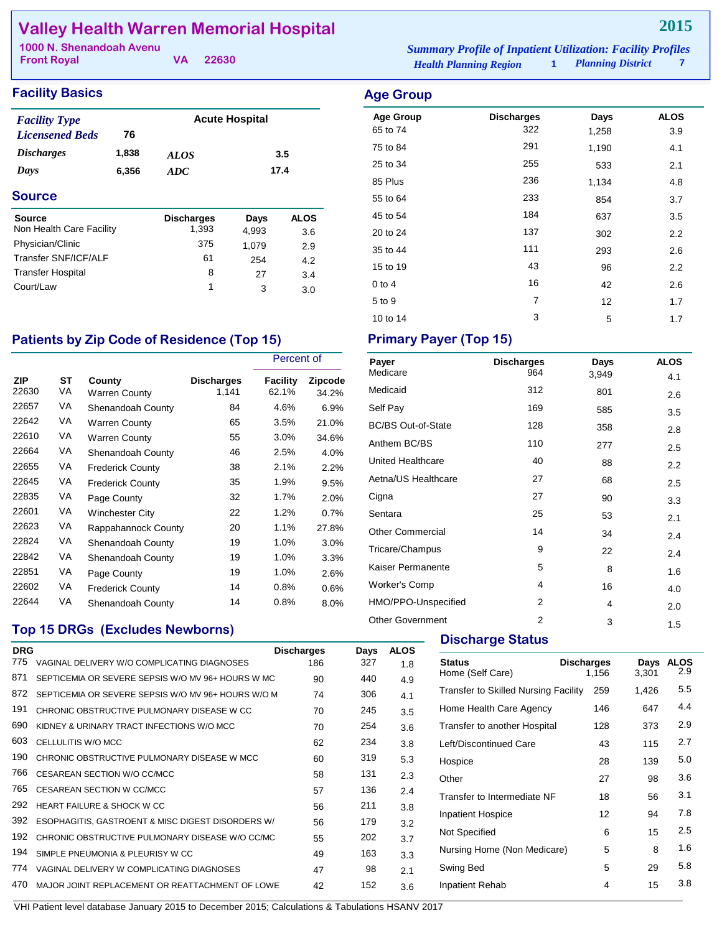# **Valley Health Warren Memorial Hospital**

| 1000 N. Shenandoah Avenu |          | <b>Summary Profile of Inpatient Utilization: Facility Profiles</b> |  |
|--------------------------|----------|--------------------------------------------------------------------|--|
| <b>Front Royal</b>       | VA 22630 | <b>Planning District</b><br><b>Health Planning Region</b>          |  |

| <b>Facility Basics</b>   |       |                   |                       |             |  |  |
|--------------------------|-------|-------------------|-----------------------|-------------|--|--|
| <b>Facility Type</b>     |       |                   | <b>Acute Hospital</b> |             |  |  |
| <b>Licensened Beds</b>   | 76    |                   |                       |             |  |  |
| <b>Discharges</b>        | 1,838 | <b>ALOS</b>       |                       | 3.5         |  |  |
| Days                     | 6.356 | ADC               |                       | 17.4        |  |  |
| <b>Source</b>            |       |                   |                       |             |  |  |
| <b>Source</b>            |       | <b>Discharges</b> | Days                  | <b>ALOS</b> |  |  |
| Non Health Care Facility |       | 1.393             | 4,993                 | 3.6         |  |  |
| Physician/Clinic         |       | 375               | 1.079                 | 2.9         |  |  |

Transfer SNF/ICF/ALF 61 254 4.2<br>Transfer Hospital 8 27 3.4 Transfer Hospital 8 27 3.4 Court/Law 1 3 3.0

| <b>Age Group</b> |                   |       |                  |
|------------------|-------------------|-------|------------------|
| <b>Age Group</b> | <b>Discharges</b> | Days  | <b>ALOS</b>      |
| 65 to 74         | 322               | 1,258 | 3.9              |
| 75 to 84         | 291               | 1,190 | 4.1              |
| 25 to 34         | 255               | 533   | 2.1              |
| 85 Plus          | 236               | 1,134 | 4.8              |
| 55 to 64         | 233               | 854   | 3.7              |
| 45 to 54         | 184               | 637   | 3.5              |
| 20 to 24         | 137               | 302   | 2.2              |
| 35 to 44         | 111               | 293   | 2.6              |
| 15 to 19         | 43                | 96    | $2.2\phantom{0}$ |
| $0$ to 4         | 16                | 42    | 2.6              |
| 5 to 9           | 7                 | 12    | 1.7              |

10 to 14 3 5 1.7

### Patients by Zip Code of Residence (Top 15) Primary Payer (Top 15)

|              |          |                                |                            | Percent of        |                         |
|--------------|----------|--------------------------------|----------------------------|-------------------|-------------------------|
| ZIP<br>22630 | ST<br>VA | County<br><b>Warren County</b> | <b>Discharges</b><br>1,141 | Facility<br>62.1% | <b>Zipcode</b><br>34.2% |
| 22657        | VA       | Shenandoah County              | 84                         | 4.6%              | 6.9%                    |
| 22642        | VA       | <b>Warren County</b>           | 65                         | 3.5%              | 21.0%                   |
| 22610        | VA       | <b>Warren County</b>           | 55                         | 3.0%              | 34.6%                   |
| 22664        | VA       | Shenandoah County              | 46                         | 2.5%              | 4.0%                    |
| 22655        | VA       | <b>Frederick County</b>        | 38                         | 2.1%              | 2.2%                    |
| 22645        | VA       | <b>Frederick County</b>        | 35                         | 1.9%              | 9.5%                    |
| 22835        | VA       | Page County                    | 32                         | 1.7%              | 2.0%                    |
| 22601        | VA       | <b>Winchester City</b>         | 22                         | 1.2%              | 0.7%                    |
| 22623        | VA       | Rappahannock County            | 20                         | 1.1%              | 27.8%                   |
| 22824        | VA       | Shenandoah County              | 19                         | 1.0%              | 3.0%                    |
| 22842        | VA       | Shenandoah County              | 19                         | 1.0%              | 3.3%                    |
| 22851        | VA       | Page County                    | 19                         | 1.0%              | 2.6%                    |
| 22602        | VA       | <b>Frederick County</b>        | 14                         | 0.8%              | 0.6%                    |
| 22644        | VA       | Shenandoah County              | 14                         | 0.8%              | 8.0%                    |

# **Top 15 DRGs (Excludes Newborns)**

| <b>DRG</b> |                                                    | <b>Discharges</b> | Days | <b>ALOS</b> |
|------------|----------------------------------------------------|-------------------|------|-------------|
| 775        | VAGINAL DELIVERY W/O COMPLICATING DIAGNOSES        | 186               | 327  | 1.8         |
| 871        | SEPTICEMIA OR SEVERE SEPSIS W/O MV 96+ HOURS W MC  | 90                | 440  | 4.9         |
| 872        | SEPTICEMIA OR SEVERE SEPSIS W/O MV 96+ HOURS W/O M | 74                | 306  | 4.1         |
| 191        | CHRONIC OBSTRUCTIVE PULMONARY DISEASE W CC         | 70                | 245  | 3.5         |
| 690        | KIDNEY & URINARY TRACT INFECTIONS W/O MCC          | 70                | 254  | 3.6         |
| 603        | CELLULITIS W/O MCC                                 | 62                | 234  | 3.8         |
| 190        | CHRONIC OBSTRUCTIVE PULMONARY DISEASE W MCC        | 60                | 319  | 5.3         |
| 766        | CESAREAN SECTION W/O CC/MCC                        | 58                | 131  | 2.3         |
| 765        | CESAREAN SECTION W CC/MCC                          | 57                | 136  | 2.4         |
| 292        | <b>HEART FAILURE &amp; SHOCK W CC</b>              | 56                | 211  | 3.8         |
| 392        | ESOPHAGITIS, GASTROENT & MISC DIGEST DISORDERS W/  | 56                | 179  | 3.2         |
| 192        | CHRONIC OBSTRUCTIVE PULMONARY DISEASE W/O CC/MC    | 55                | 202  | 3.7         |
| 194        | SIMPLE PNEUMONIA & PLEURISY W CC                   | 49                | 163  | 3.3         |
| 774        | VAGINAL DELIVERY W COMPLICATING DIAGNOSES          | 47                | 98   | 2.1         |
| 470        | MAJOR JOINT REPLACEMENT OR REATTACHMENT OF LOWE    | 42                | 152  | 3.6         |

| Payer                     | <b>Discharges</b> | Days  | <b>ALOS</b> |
|---------------------------|-------------------|-------|-------------|
| Medicare                  | 964               | 3,949 | 4.1         |
| Medicaid                  | 312               | 801   | 2.6         |
| Self Pay                  | 169               | 585   | 3.5         |
| <b>BC/BS Out-of-State</b> | 128               | 358   | 2.8         |
| Anthem BC/BS              | 110               | 277   | 2.5         |
| United Healthcare         | 40                | 88    | 2.2         |
| Aetna/US Healthcare       | 27                | 68    | 2.5         |
| Cigna                     | 27                | 90    | 3.3         |
| Sentara                   | 25                | 53    | 2.1         |
| <b>Other Commercial</b>   | 14                | 34    | 2.4         |
| Tricare/Champus           | 9                 | 22    | 2.4         |
| Kaiser Permanente         | 5                 | 8     | 1.6         |
| <b>Worker's Comp</b>      | 4                 | 16    | 4.0         |
| HMO/PPO-Unspecified       | 2                 | 4     | 2.0         |
| <b>Other Government</b>   | 2                 | 3     | 1.5         |

## **Discharge Status**

| <b>Discharges</b><br>1.156 | Days<br>3,301                                                                                                                             | <b>ALOS</b><br>2.9 |
|----------------------------|-------------------------------------------------------------------------------------------------------------------------------------------|--------------------|
| 259                        | 1,426                                                                                                                                     | 5.5                |
| 146                        | 647                                                                                                                                       | 4.4                |
| 128                        | 373                                                                                                                                       | 2.9                |
| 43                         | 115                                                                                                                                       | 2.7                |
| 28                         | 139                                                                                                                                       | 5.0                |
| 27                         | 98                                                                                                                                        | 3.6                |
| 18                         | 56                                                                                                                                        | 3.1                |
| 12                         | 94                                                                                                                                        | 7.8                |
| 6                          | 15                                                                                                                                        | 2.5                |
| 5                          | 8                                                                                                                                         | 1.6                |
| 5                          | 29                                                                                                                                        | 5.8                |
| 4                          | 15                                                                                                                                        | 3.8                |
|                            | <b>Transfer to Skilled Nursing Facility</b><br>Transfer to another Hospital<br>Transfer to Intermediate NF<br>Nursing Home (Non Medicare) |                    |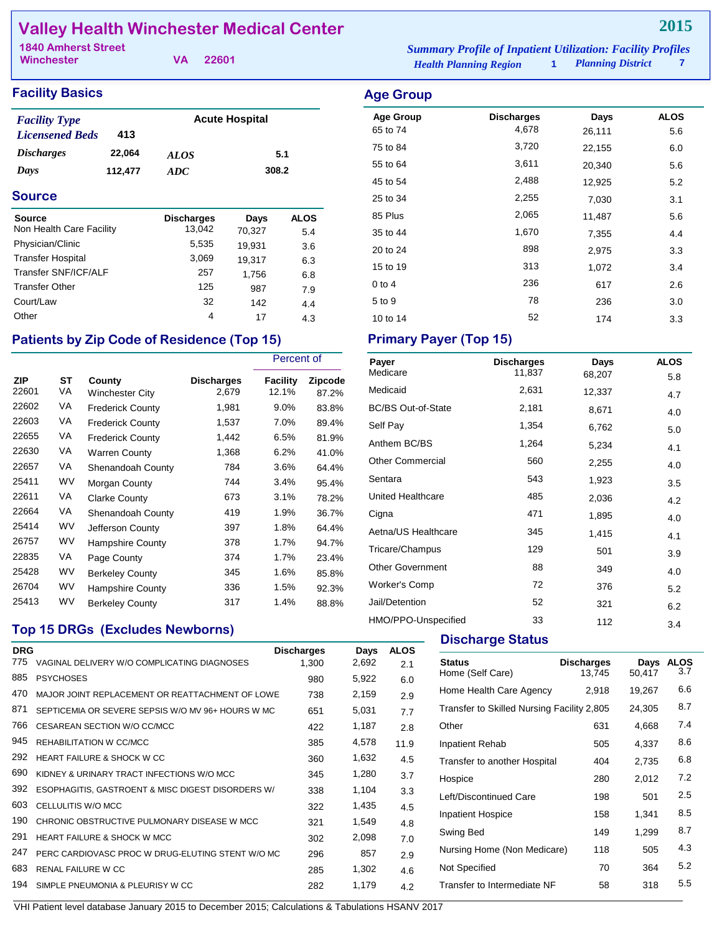# **Valley Health Winchester Medical Center**

**Winchester**

**VA 22601**

| <b>Facility Basics</b>                                |         |                       |              |             | <b>Age Group</b>             |
|-------------------------------------------------------|---------|-----------------------|--------------|-------------|------------------------------|
| <b>Facility Type</b><br><b>Licensened Beds</b><br>413 |         | <b>Acute Hospital</b> |              |             | <b>Age Group</b><br>65 to 74 |
| <i><b>Discharges</b></i>                              | 22,064  | <i>ALOS</i>           | 5.1<br>308.2 |             | 75 to 84                     |
| Days                                                  | 112,477 | ADC                   |              |             | 55 to 64                     |
|                                                       |         |                       |              |             | 45 to 54                     |
| <b>Source</b>                                         |         |                       |              | 25 to 34    |                              |
| Source                                                |         | <b>Discharges</b>     | Days         | <b>ALOS</b> | 85 Plus                      |
| Non Health Care Facility                              |         | 13,042                | 70,327       | 5.4         | 35 to 44                     |
| Physician/Clinic                                      |         | 5,535                 | 19.931       | 3.6         | 20 to 24                     |
| <b>Transfer Hospital</b>                              |         | 3,069                 | 19.317       | 6.3         |                              |
| Transfer SNF/ICF/ALF                                  |         | 257                   | 1,756        | 6.8         | 15 to 19                     |
| <b>Transfer Other</b>                                 |         | 125                   | 987          | 7.9         | $0$ to 4                     |

# Patients by Zip Code of Residence (Top 15) Primary Payer (Top 15)

Court/Law  $\begin{array}{cccc}\n 32 & 142 & 4.4 \\
 \text{Other} & 4 & 17 & 43\n \end{array}$ Other 2012 17 4.3

|                     |                 |                                  |                            | Percent of        |                         |
|---------------------|-----------------|----------------------------------|----------------------------|-------------------|-------------------------|
| <b>ZIP</b><br>22601 | <b>ST</b><br>VA | County<br><b>Winchester City</b> | <b>Discharges</b><br>2,679 | Facility<br>12.1% | <b>Zipcode</b><br>87.2% |
| 22602               | VA              | <b>Frederick County</b>          | 1,981                      | $9.0\%$           | 83.8%                   |
| 22603               | VA              | <b>Frederick County</b>          | 1,537                      | 7.0%              | 89.4%                   |
| 22655               | VA              | <b>Frederick County</b>          | 1,442                      | 6.5%              | 81.9%                   |
| 22630               | VA              | <b>Warren County</b>             | 1,368                      | 6.2%              | 41.0%                   |
| 22657               | VA              | Shenandoah County                | 784                        | 3.6%              | 64.4%                   |
| 25411               | WV              | Morgan County                    | 744                        | 3.4%              | 95.4%                   |
| 22611               | VA              | <b>Clarke County</b>             | 673                        | 3.1%              | 78.2%                   |
| 22664               | VA              | Shenandoah County                | 419                        | 1.9%              | 36.7%                   |
| 25414               | WV              | Jefferson County                 | 397                        | 1.8%              | 64.4%                   |
| 26757               | WV              | <b>Hampshire County</b>          | 378                        | 1.7%              | 94.7%                   |
| 22835               | VA              | Page County                      | 374                        | 1.7%              | 23.4%                   |
| 25428               | WV              | <b>Berkeley County</b>           | 345                        | 1.6%              | 85.8%                   |
| 26704               | WV              | Hampshire County                 | 336                        | 1.5%              | 92.3%                   |
| 25413               | WV              | <b>Berkeley County</b>           | 317                        | 1.4%              | 88.8%                   |

### **Top 15 DRGs (Excludes Newborns)**

| <b>DRG</b> |                                                   | <b>Discharges</b> | Days  | <b>ALOS</b> |
|------------|---------------------------------------------------|-------------------|-------|-------------|
| 775        | VAGINAL DELIVERY W/O COMPLICATING DIAGNOSES       | 1,300             | 2,692 | 2.1         |
| 885        | <b>PSYCHOSES</b>                                  | 980               | 5,922 | 6.0         |
| 470        | MAJOR JOINT REPLACEMENT OR REATTACHMENT OF LOWE   | 738               | 2,159 | 2.9         |
| 871        | SEPTICEMIA OR SEVERE SEPSIS W/O MV 96+ HOURS W MC | 651               | 5,031 | 7.7         |
| 766        | CESAREAN SECTION W/O CC/MCC                       | 422               | 1,187 | 2.8         |
| 945        | REHABILITATION W CC/MCC                           | 385               | 4,578 | 11.9        |
| 292        | HEART FAILURE & SHOCK W CC                        | 360               | 1,632 | 4.5         |
| 690        | KIDNEY & URINARY TRACT INFECTIONS W/O MCC         | 345               | 1,280 | 3.7         |
| 392        | ESOPHAGITIS, GASTROENT & MISC DIGEST DISORDERS W/ | 338               | 1,104 | 3.3         |
| 603        | CELLULITIS W/O MCC                                | 322               | 1,435 | 4.5         |
| 190        | CHRONIC OBSTRUCTIVE PULMONARY DISEASE W MCC       | 321               | 1,549 | 4.8         |
| 291        | <b>HEART FAILURE &amp; SHOCK W MCC</b>            | 302               | 2,098 | 7.0         |
| 247        | PERC CARDIOVASC PROC W DRUG-ELUTING STENT W/O MC  | 296               | 857   | 2.9         |
| 683        | RENAL FAILURE W.C.C.                              | 285               | 1,302 | 4.6         |
| 194        | SIMPLE PNEUMONIA & PLEURISY W CC                  | 282               | 1,179 | 4.2         |
|            |                                                   |                   |       |             |

*Health Planning Region* **1** *Planning District* **7 1840 Amherst Street** *Summary Profile of Inpatient Utilization: Facility Profiles*

| ັ                |                   |        |             |
|------------------|-------------------|--------|-------------|
| <b>Age Group</b> | <b>Discharges</b> | Days   | <b>ALOS</b> |
| 65 to 74         | 4,678             | 26,111 | 5.6         |
| 75 to 84         | 3,720             | 22,155 | 6.0         |
| 55 to 64         | 3,611             | 20,340 | 5.6         |
| 45 to 54         | 2,488             | 12,925 | 5.2         |
| 25 to 34         | 2,255             | 7,030  | 3.1         |
| 85 Plus          | 2,065             | 11,487 | 5.6         |
| 35 to 44         | 1,670             | 7,355  | 4.4         |
| 20 to 24         | 898               | 2,975  | 3.3         |
| 15 to 19         | 313               | 1,072  | 3.4         |
| $0$ to 4         | 236               | 617    | 2.6         |
| 5 to 9           | 78                | 236    | 3.0         |
| 10 to 14         | 52                | 174    | 3.3         |

| Payer                     | <b>Discharges</b> | Days   | <b>ALOS</b> |
|---------------------------|-------------------|--------|-------------|
| Medicare                  | 11,837            | 68,207 | 5.8         |
| Medicaid                  | 2,631             | 12,337 | 4.7         |
| <b>BC/BS Out-of-State</b> | 2,181             | 8,671  | 4.0         |
| Self Pay                  | 1,354             | 6,762  | 5.0         |
| Anthem BC/BS              | 1,264             | 5,234  | 4.1         |
| <b>Other Commercial</b>   | 560               | 2,255  | 4.0         |
| Sentara                   | 543               | 1,923  | 3.5         |
| United Healthcare         | 485               | 2,036  | 4.2         |
| Cigna                     | 471               | 1,895  | 4.0         |
| Aetna/US Healthcare       | 345               | 1,415  | 4.1         |
| Tricare/Champus           | 129               | 501    | 3.9         |
| <b>Other Government</b>   | 88                | 349    | 4.0         |
| <b>Worker's Comp</b>      | 72                | 376    | 5.2         |
| Jail/Detention            | 52                | 321    | 6.2         |
| HMO/PPO-Unspecified       | 33                | 112    | 3.4         |

#### **Discharge Status**

| <b>Status</b><br>Home (Self Care)          | <b>Discharges</b><br>13.745 | Days<br>50,417 | <b>ALOS</b><br>3.7 |
|--------------------------------------------|-----------------------------|----------------|--------------------|
| Home Health Care Agency                    | 2,918                       | 19,267         | 6.6                |
| Transfer to Skilled Nursing Facility 2,805 |                             | 24,305         | 8.7                |
| Other                                      | 631                         | 4,668          | 7.4                |
| <b>Inpatient Rehab</b>                     | 505                         | 4,337          | 8.6                |
| Transfer to another Hospital               | 404                         | 2,735          | 6.8                |
| Hospice                                    | 280                         | 2,012          | 7.2                |
| Left/Discontinued Care                     | 198                         | 501            | 2.5                |
| <b>Inpatient Hospice</b>                   | 158                         | 1,341          | 8.5                |
| Swing Bed                                  | 149                         | 1,299          | 8.7                |
| Nursing Home (Non Medicare)                | 118                         | 505            | 4.3                |
| Not Specified                              | 70                          | 364            | 5.2                |
| Transfer to Intermediate NF                | 58                          | 318            | 5.5                |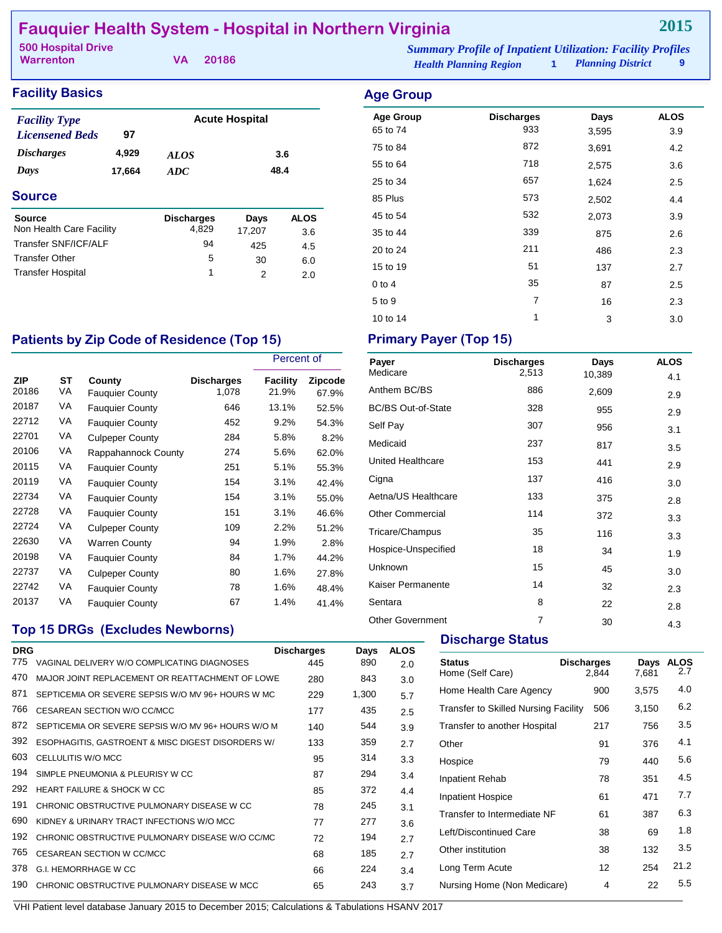# **Fauquier Health System - Hospital in Northern Virginia**

**VA 20186**

**Warrenton**

#### **Facility Basics Age Group Age Group**

| <b>Facility Type</b>     |        | <b>Acute Hospital</b> |        |             |
|--------------------------|--------|-----------------------|--------|-------------|
| <b>Licensened Beds</b>   | 97     |                       |        |             |
| <i><b>Discharges</b></i> | 4,929  | <i>ALOS</i>           |        | 3.6         |
| Days                     | 17,664 | 48.4<br>ADC           |        |             |
| <b>Source</b>            |        |                       |        |             |
| <b>Source</b>            |        | Discharges            | Days   | <b>ALOS</b> |
| Non Health Care Facility |        | 4.829                 | 17,207 | 3.6         |
| Transfer SNF/ICF/ALF     |        | 94                    | 425    | 4.5         |

Transfer Other 5 30 6.0 Transfer Hospital 1 2 2.0

| ngo oroap        |                   |       |             |
|------------------|-------------------|-------|-------------|
| <b>Age Group</b> | <b>Discharges</b> | Days  | <b>ALOS</b> |
| 65 to 74         | 933               | 3,595 | 3.9         |
| 75 to 84         | 872               | 3,691 | 4.2         |
| 55 to 64         | 718               | 2,575 | 3.6         |
| 25 to 34         | 657               | 1,624 | 2.5         |
| 85 Plus          | 573               | 2,502 | 4.4         |
| 45 to 54         | 532               | 2,073 | 3.9         |
| 35 to 44         | 339               | 875   | 2.6         |
| 20 to 24         | 211               | 486   | 2.3         |
| 15 to 19         | 51                | 137   | 2.7         |
| $0$ to $4$       | 35                | 87    | 2.5         |
| 5 to 9           | $\overline{7}$    | 16    | 2.3         |
| 10 to 14         | 1                 | 3     | 3.0         |

# Patients by Zip Code of Residence (Top 15) Primary Payer (Top 15)

|              |          |                                  |                            | Percent of        |                         |
|--------------|----------|----------------------------------|----------------------------|-------------------|-------------------------|
| ZIP<br>20186 | ST<br>VA | County<br><b>Fauquier County</b> | <b>Discharges</b><br>1,078 | Facility<br>21.9% | <b>Zipcode</b><br>67.9% |
| 20187        | VA       | <b>Fauquier County</b>           | 646                        | 13.1%             | 52.5%                   |
| 22712        | VA       | <b>Fauguier County</b>           | 452                        | 9.2%              | 54.3%                   |
| 22701        | VA       | <b>Culpeper County</b>           | 284                        | 5.8%              | 8.2%                    |
| 20106        | VA       | Rappahannock County              | 274                        | 5.6%              | 62.0%                   |
| 20115        | VA       | <b>Fauquier County</b>           | 251                        | 5.1%              | 55.3%                   |
| 20119        | VA       | <b>Fauquier County</b>           | 154                        | 3.1%              | 42.4%                   |
| 22734        | VA       | <b>Fauquier County</b>           | 154                        | 3.1%              | 55.0%                   |
| 22728        | VA       | <b>Fauquier County</b>           | 151                        | 3.1%              | 46.6%                   |
| 22724        | VA       | <b>Culpeper County</b>           | 109                        | 2.2%              | 51.2%                   |
| 22630        | VA       | <b>Warren County</b>             | 94                         | 1.9%              | 2.8%                    |
| 20198        | VA       | <b>Fauquier County</b>           | 84                         | 1.7%              | 44.2%                   |
| 22737        | VA       | <b>Culpeper County</b>           | 80                         | 1.6%              | 27.8%                   |
| 22742        | VA       | <b>Fauguier County</b>           | 78                         | 1.6%              | 48.4%                   |
| 20137        | VA       | <b>Fauguier County</b>           | 67                         | 1.4%              | 41.4%                   |

# **Top 15 DRGs (Excludes Newborns)**

|            |                                                    |                   |       |             | <b>Discr</b>  |
|------------|----------------------------------------------------|-------------------|-------|-------------|---------------|
| <b>DRG</b> |                                                    | <b>Discharges</b> | Days  | <b>ALOS</b> |               |
| 775        | VAGINAL DELIVERY W/O COMPLICATING DIAGNOSES        | 445               | 890   | 2.0         | <b>Status</b> |
| 470        | MAJOR JOINT REPLACEMENT OR REATTACHMENT OF LOWE    | 280               | 843   | 3.0         | Home (        |
| 871        | SEPTICEMIA OR SEVERE SEPSIS W/O MV 96+ HOURS W MC  | 229               | 1,300 | 5.7         | Home H        |
| 766        | CESAREAN SECTION W/O CC/MCC                        | 177               | 435   | 2.5         | Transfer      |
| 872        | SEPTICEMIA OR SEVERE SEPSIS W/O MV 96+ HOURS W/O M | 140               | 544   | 3.9         | Transfer      |
| 392        | ESOPHAGITIS, GASTROENT & MISC DIGEST DISORDERS W/  | 133               | 359   | 2.7         | Other         |
| 603        | CELLULITIS W/O MCC                                 | 95                | 314   | 3.3         | Hospice       |
| 194        | SIMPLE PNEUMONIA & PLEURISY W CC                   | 87                | 294   | 3.4         | Inpatien      |
| 292        | <b>HEART FAILURE &amp; SHOCK W CC</b>              | 85                | 372   | 4.4         | Inpatien      |
| 191        | CHRONIC OBSTRUCTIVE PULMONARY DISEASE W CC         | 78                | 245   | 3.1         |               |
| 690        | KIDNEY & URINARY TRACT INFECTIONS W/O MCC          | 77                | 277   | 3.6         | Transfer      |
| 192        | CHRONIC OBSTRUCTIVE PULMONARY DISEASE W/O CC/MC    | 72                | 194   | 2.7         | Left/Dis      |
| 765        | CESAREAN SECTION W CC/MCC                          | 68                | 185   | 2.7         | Other in      |
| 378        | G.I. HEMORRHAGE W CC                               | 66                | 224   | 3.4         | Long Te       |
| 190        | CHRONIC OBSTRUCTIVE PULMONARY DISEASE W MCC        | 65                | 243   | 3.7         | Nursing       |
|            |                                                    |                   |       |             |               |

| Payer                     | <b>Discharges</b> | Days   | <b>ALOS</b> |
|---------------------------|-------------------|--------|-------------|
| Medicare                  | 2,513             | 10,389 | 4.1         |
| Anthem BC/BS              | 886               | 2,609  | 2.9         |
| <b>BC/BS Out-of-State</b> | 328               | 955    | 2.9         |
| Self Pay                  | 307               | 956    | 3.1         |
| Medicaid                  | 237               | 817    | 3.5         |
| United Healthcare         | 153               | 441    | 2.9         |
| Cigna                     | 137               | 416    | 3.0         |
| Aetna/US Healthcare       | 133               | 375    | 2.8         |
| <b>Other Commercial</b>   | 114               | 372    | 3.3         |
| Tricare/Champus           | 35                | 116    | 3.3         |
| Hospice-Unspecified       | 18                | 34     | 1.9         |
| Unknown                   | 15                | 45     | 3.0         |
| Kaiser Permanente         | 14                | 32     | 2.3         |
| Sentara                   | 8                 | 22     | 2.8         |
| <b>Other Government</b>   | $\overline{7}$    | 30     | 4.3         |

#### **harge Status**

| <b>Status</b><br>Home (Self Care)           | <b>Discharges</b><br>2,844 | Days<br>7,681 | <b>ALOS</b><br>2.7 |
|---------------------------------------------|----------------------------|---------------|--------------------|
| Home Health Care Agency                     | 900                        | 3,575         | 4.0                |
| <b>Transfer to Skilled Nursing Facility</b> | 506                        | 3,150         | 6.2                |
| Transfer to another Hospital                | 217                        | 756           | 3.5                |
| Other                                       | 91                         | 376           | 4.1                |
| Hospice                                     | 79                         | 440           | 5.6                |
| Inpatient Rehab                             | 78                         | 351           | 4.5                |
| <b>Inpatient Hospice</b>                    | 61                         | 471           | 7.7                |
| Transfer to Intermediate NF                 | 61                         | 387           | 6.3                |
| Left/Discontinued Care                      | 38                         | 69            | 1.8                |
| Other institution                           | 38                         | 132           | 3.5                |
| Long Term Acute                             | 12                         | 254           | 21.2               |
| Nursing Home (Non Medicare)                 | 4                          | 22            | 5.5                |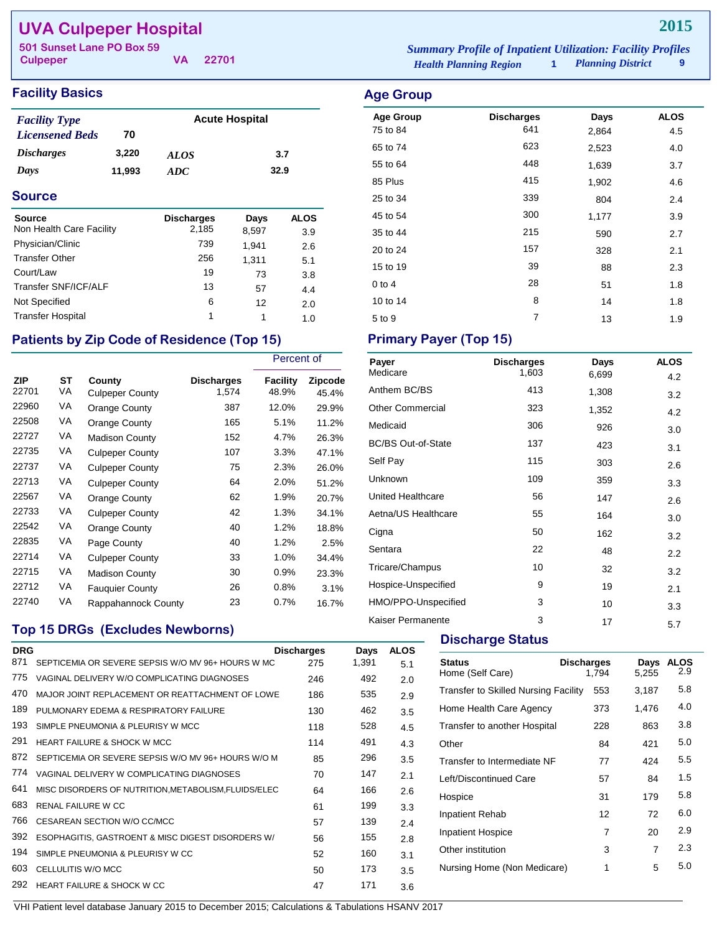# **UVA Culpeper Hospital**

**Culpeper**

**VA 22701**

## **Facility Basics Age Group**

| <b>Facility Type</b>     |        | <b>Acute Hospital</b> |      |  |
|--------------------------|--------|-----------------------|------|--|
| <b>Licensened Beds</b>   | 70     |                       |      |  |
| <i><b>Discharges</b></i> | 3.220  | <b>ALOS</b>           | 3.7  |  |
| Days                     | 11.993 | ADC.                  | 32.9 |  |

### **Source**

| <b>Source</b>            | <b>Discharges</b> | Days  | <b>ALOS</b> |
|--------------------------|-------------------|-------|-------------|
| Non Health Care Facility | 2,185             | 8,597 | 3.9         |
| Physician/Clinic         | 739               | 1.941 | 2.6         |
| <b>Transfer Other</b>    | 256               | 1,311 | 5.1         |
| Court/Law                | 19                | 73    | 3.8         |
| Transfer SNF/ICF/ALF     | 13                | 57    | 4.4         |
| Not Specified            | 6                 | 12    | 2.0         |
| <b>Transfer Hospital</b> | 1                 | 1     | 1.0         |

# Patients by Zip Code of Residence (Top 15) Primary Payer (Top 15)

|                     |          |                                  |                            | Percent of        |                  |
|---------------------|----------|----------------------------------|----------------------------|-------------------|------------------|
| <b>ZIP</b><br>22701 | ST<br>VA | County<br><b>Culpeper County</b> | <b>Discharges</b><br>1,574 | Facility<br>48.9% | Zipcode<br>45.4% |
| 22960               | VA       | Orange County                    | 387                        | 12.0%             | 29.9%            |
| 22508               | VA       | Orange County                    | 165                        | 5.1%              | 11.2%            |
| 22727               | VA       | <b>Madison County</b>            | 152                        | 4.7%              | 26.3%            |
| 22735               | VA       | <b>Culpeper County</b>           | 107                        | 3.3%              | 47.1%            |
| 22737               | VA       | <b>Culpeper County</b>           | 75                         | 2.3%              | 26.0%            |
| 22713               | VA       | <b>Culpeper County</b>           | 64                         | 2.0%              | 51.2%            |
| 22567               | VA       | Orange County                    | 62                         | 1.9%              | 20.7%            |
| 22733               | VA       | <b>Culpeper County</b>           | 42                         | 1.3%              | 34.1%            |
| 22542               | VA       | Orange County                    | 40                         | 1.2%              | 18.8%            |
| 22835               | VA       | Page County                      | 40                         | 1.2%              | 2.5%             |
| 22714               | VA       | <b>Culpeper County</b>           | 33                         | 1.0%              | 34.4%            |
| 22715               | VA       | <b>Madison County</b>            | 30                         | 0.9%              | 23.3%            |
| 22712               | VA       | <b>Fauguier County</b>           | 26                         | $0.8\%$           | 3.1%             |
| 22740               | VA       | Rappahannock County              | 23                         | 0.7%              | 16.7%            |

# **Top 15 DRGs (Excludes Newborns)**

| <b>DRG</b> |                                                      | <b>Discharges</b> | Days  | <b>ALOS</b> |
|------------|------------------------------------------------------|-------------------|-------|-------------|
| 871        | SEPTICEMIA OR SEVERE SEPSIS W/O MV 96+ HOURS W MC    | 275               | 1,391 | 5.1         |
| 775        | VAGINAL DELIVERY W/O COMPLICATING DIAGNOSES          | 246               | 492   | 2.0         |
| 470        | MAJOR JOINT REPLACEMENT OR REATTACHMENT OF LOWE      | 186               | 535   | 2.9         |
| 189        | PULMONARY EDEMA & RESPIRATORY FAILURE                | 130               | 462   | 3.5         |
| 193        | SIMPLE PNEUMONIA & PLEURISY W MCC                    | 118               | 528   | 4.5         |
| 291        | HEART FAILURE & SHOCK W MCC                          | 114               | 491   | 4.3         |
| 872        | SEPTICEMIA OR SEVERE SEPSIS W/O MV 96+ HOURS W/O M   | 85                | 296   | 3.5         |
| 774        | VAGINAL DELIVERY W COMPLICATING DIAGNOSES            | 70                | 147   | 2.1         |
| 641        | MISC DISORDERS OF NUTRITION, METABOLISM, FLUIDS/ELEC | 64                | 166   | 2.6         |
| 683        | <b>RENAL FAILURE W CC</b>                            | 61                | 199   | 3.3         |
| 766        | CESAREAN SECTION W/O CC/MCC                          | 57                | 139   | 2.4         |
| 392        | ESOPHAGITIS, GASTROENT & MISC DIGEST DISORDERS W/    | 56                | 155   | 2.8         |
| 194        | SIMPLE PNEUMONIA & PLEURISY W CC                     | 52                | 160   | 3.1         |
| 603        | CELLULITIS W/O MCC                                   | 50                | 173   | 3.5         |
| 292        | HEART FAILURE & SHOCK W CC                           | 47                | 171   | 3.6         |
|            |                                                      |                   |       |             |

*Health Planning Region* **1** *Planning District* **9 501 Sunset Lane PO Box 59** *Summary Profile of Inpatient Utilization: Facility Profiles*

| <b>Age Group</b> | <b>Discharges</b> | Days  | <b>ALOS</b> |
|------------------|-------------------|-------|-------------|
| 75 to 84         | 641               | 2,864 | 4.5         |
| 65 to 74         | 623               | 2,523 | 4.0         |
| 55 to 64         | 448               | 1,639 | 3.7         |
| 85 Plus          | 415               | 1,902 | 4.6         |
| 25 to 34         | 339               | 804   | 2.4         |
| 45 to 54         | 300               | 1,177 | 3.9         |
| 35 to 44         | 215               | 590   | 2.7         |
| 20 to 24         | 157               | 328   | 2.1         |
| 15 to 19         | 39                | 88    | 2.3         |
| $0$ to 4         | 28                | 51    | 1.8         |
| 10 to 14         | 8                 | 14    | 1.8         |
| 5 to 9           | 7                 | 13    | 1.9         |

| Payer                     | <b>Discharges</b> | Days  | <b>ALOS</b> |
|---------------------------|-------------------|-------|-------------|
| Medicare                  | 1,603             | 6,699 | 4.2         |
| Anthem BC/BS              | 413               | 1,308 | 3.2         |
| <b>Other Commercial</b>   | 323               | 1,352 | 4.2         |
| Medicaid                  | 306               | 926   | 3.0         |
| <b>BC/BS Out-of-State</b> | 137               | 423   | 3.1         |
| Self Pay                  | 115               | 303   | 2.6         |
| Unknown                   | 109               | 359   | 3.3         |
| United Healthcare         | 56                | 147   | 2.6         |
| Aetna/US Healthcare       | 55                | 164   | 3.0         |
| Cigna                     | 50                | 162   | 3.2         |
| Sentara                   | 22                | 48    | 2.2         |
| Tricare/Champus           | 10                | 32    | 3.2         |
| Hospice-Unspecified       | 9                 | 19    | 2.1         |
| HMO/PPO-Unspecified       | 3                 | 10    | 3.3         |
| Kaiser Permanente         | 3                 | 17    | 5.7         |

## **Discharge Status**

| <b>Status</b><br>Home (Self Care)           | <b>Discharges</b><br>1.794 | Days<br>5,255 | <b>ALOS</b><br>2.9 |
|---------------------------------------------|----------------------------|---------------|--------------------|
| <b>Transfer to Skilled Nursing Facility</b> | 553                        | 3,187         | 5.8                |
| Home Health Care Agency                     | 373                        | 1,476         | 4.0                |
| Transfer to another Hospital                | 228                        | 863           | 3.8                |
| Other                                       | 84                         | 421           | 5.0                |
| Transfer to Intermediate NF                 | 77                         | 424           | 5.5                |
| Left/Discontinued Care                      | 57                         | 84            | 1.5                |
| Hospice                                     | 31                         | 179           | 5.8                |
| Inpatient Rehab                             | 12                         | 72            | 6.0                |
| <b>Inpatient Hospice</b>                    | 7                          | 20            | 2.9                |
| Other institution                           | 3                          | 7             | 2.3                |
| Nursing Home (Non Medicare)                 | 1                          | 5             | 5.0                |
|                                             |                            |               |                    |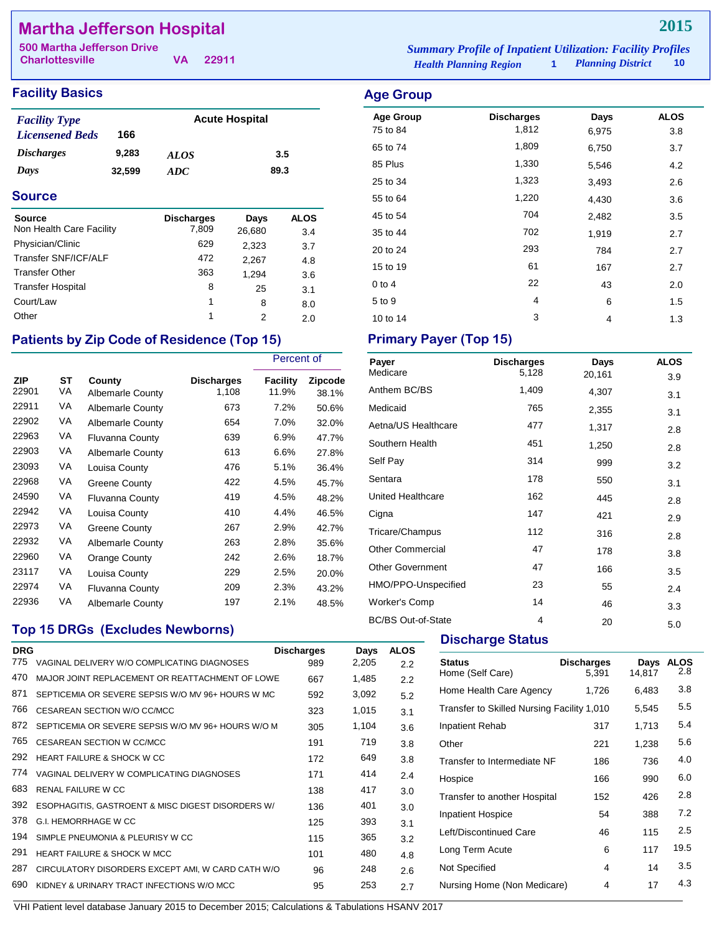# **Martha Jefferson Hospital**

**Charlottesville**

**VA 22911**

## **Facility Basics Age Group Age Group**

| <b>Facility Type</b>     |        | <b>Acute Hospital</b> |      |
|--------------------------|--------|-----------------------|------|
| <b>Licensened Beds</b>   | 166    |                       |      |
| <i><b>Discharges</b></i> | 9.283  | <b>ALOS</b>           | 3.5  |
| Days                     | 32,599 | ADC.                  | 89.3 |

#### **Source**

| <b>Source</b>            | <b>Discharges</b> | Days   | <b>ALOS</b> |
|--------------------------|-------------------|--------|-------------|
| Non Health Care Facility | 7,809             | 26,680 | 3.4         |
| Physician/Clinic         | 629               | 2,323  | 3.7         |
| Transfer SNF/ICF/ALF     | 472               | 2,267  | 4.8         |
| <b>Transfer Other</b>    | 363               | 1.294  | 3.6         |
| <b>Transfer Hospital</b> | 8                 | 25     | 3.1         |
| Court/Law                | 1                 | 8      | 8.0         |
| Other                    | 1                 | 2      | 2.0         |

## Patients by Zip Code of Residence (Top 15) Primary Payer (Top 15)

|                     |                 |                                   |                            | Percent of        |                  |
|---------------------|-----------------|-----------------------------------|----------------------------|-------------------|------------------|
| <b>ZIP</b><br>22901 | <b>ST</b><br>VA | County<br><b>Albemarle County</b> | <b>Discharges</b><br>1,108 | Facility<br>11.9% | Zipcode<br>38.1% |
| 22911               | VA              | <b>Albemarle County</b>           | 673                        | 7.2%              | 50.6%            |
| 22902               | VA              | <b>Albemarle County</b>           | 654                        | 7.0%              | 32.0%            |
| 22963               | VA              | <b>Fluvanna County</b>            | 639                        | 6.9%              | 47.7%            |
| 22903               | VA              | <b>Albemarle County</b>           | 613                        | 6.6%              | 27.8%            |
| 23093               | VA              | Louisa County                     | 476                        | 5.1%              | 36.4%            |
| 22968               | VA              | Greene County                     | 422                        | 4.5%              | 45.7%            |
| 24590               | VA              | <b>Fluvanna County</b>            | 419                        | 4.5%              | 48.2%            |
| 22942               | VA              | Louisa County                     | 410                        | 4.4%              | 46.5%            |
| 22973               | VA              | Greene County                     | 267                        | 2.9%              | 42.7%            |
| 22932               | VA              | <b>Albemarle County</b>           | 263                        | 2.8%              | 35.6%            |
| 22960               | VA              | Orange County                     | 242                        | 2.6%              | 18.7%            |
| 23117               | VA              | Louisa County                     | 229                        | 2.5%              | 20.0%            |
| 22974               | VA              | <b>Fluvanna County</b>            | 209                        | 2.3%              | 43.2%            |
| 22936               | VA              | <b>Albemarle County</b>           | 197                        | 2.1%              | 48.5%            |

## **Top 15 DRGs (Excludes Newborns)**

| <b>DRG</b> |                                                    | <b>Discharges</b> | Days  | <b>ALOS</b> |  |
|------------|----------------------------------------------------|-------------------|-------|-------------|--|
| 775        | VAGINAL DELIVERY W/O COMPLICATING DIAGNOSES        | 989               | 2,205 | 2.2         |  |
| 470        | MAJOR JOINT REPLACEMENT OR REATTACHMENT OF LOWE    | 667               | 1,485 | 2.2         |  |
| 871        | SEPTICEMIA OR SEVERE SEPSIS W/O MV 96+ HOURS W MC  | 592               | 3,092 | 5.2         |  |
| 766        | CESAREAN SECTION W/O CC/MCC                        | 323               | 1,015 | 3.1         |  |
| 872        | SEPTICEMIA OR SEVERE SEPSIS W/O MV 96+ HOURS W/O M | 305               | 1,104 | 3.6         |  |
| 765        | CESAREAN SECTION W CC/MCC                          | 191               | 719   | 3.8         |  |
| 292        | <b>HEART FAILURE &amp; SHOCK W CC</b>              | 172               | 649   | 3.8         |  |
| 774        | VAGINAL DELIVERY W COMPLICATING DIAGNOSES          | 171               | 414   | 2.4         |  |
| 683        | RENAL FAILURE W.C.C.                               | 138               | 417   | 3.0         |  |
| 392        | ESOPHAGITIS, GASTROENT & MISC DIGEST DISORDERS W/  | 136               | 401   | 3.0         |  |
| 378        | <b>G.I. HEMORRHAGE W CC</b>                        | 125               | 393   | 3.1         |  |
| 194        | SIMPLE PNEUMONIA & PLEURISY W CC                   | 115               | 365   | 3.2         |  |
| 291        | <b>HEART FAILURE &amp; SHOCK W MCC</b>             | 101               | 480   | 4.8         |  |
| 287        | CIRCULATORY DISORDERS EXCEPT AMI, W CARD CATH W/O  | 96                | 248   | 2.6         |  |
| 690        | KIDNEY & URINARY TRACT INFECTIONS W/O MCC          | 95                | 253   | 2.7         |  |
|            |                                                    |                   |       |             |  |

*Health Planning Region* **1** *Planning District* **10 500 Martha Jefferson Drive** *Summary Profile of Inpatient Utilization: Facility Profiles*

| <b>\ge Group</b> |                   |       |             |
|------------------|-------------------|-------|-------------|
| <b>Age Group</b> | <b>Discharges</b> | Days  | <b>ALOS</b> |
| 75 to 84         | 1,812             | 6,975 | 3.8         |
| 65 to 74         | 1,809             | 6,750 | 3.7         |
| 85 Plus          | 1,330             | 5,546 | 4.2         |
| 25 to 34         | 1,323             | 3,493 | 2.6         |
| 55 to 64         | 1,220             | 4,430 | 3.6         |
| 45 to 54         | 704               | 2,482 | 3.5         |
| 35 to 44         | 702               | 1,919 | 2.7         |
| 20 to 24         | 293               | 784   | 2.7         |
| 15 to 19         | 61                | 167   | 2.7         |
| $0$ to $4$       | 22                | 43    | 2.0         |
| 5 to 9           | 4                 | 6     | 1.5         |

10 to 14 1.3

| Payer                     | <b>Discharges</b> | Days   | <b>ALOS</b> |
|---------------------------|-------------------|--------|-------------|
| Medicare                  | 5,128             | 20,161 | 3.9         |
| Anthem BC/BS              | 1,409             | 4,307  | 3.1         |
| Medicaid                  | 765               | 2,355  | 3.1         |
| Aetna/US Healthcare       | 477               | 1,317  | 2.8         |
| Southern Health           | 451               | 1,250  | 2.8         |
| Self Pay                  | 314               | 999    | 3.2         |
| Sentara                   | 178               | 550    | 3.1         |
| <b>United Healthcare</b>  | 162               | 445    | 2.8         |
| Cigna                     | 147               | 421    | 2.9         |
| Tricare/Champus           | 112               | 316    | 2.8         |
| <b>Other Commercial</b>   | 47                | 178    | 3.8         |
| <b>Other Government</b>   | 47                | 166    | 3.5         |
| HMO/PPO-Unspecified       | 23                | 55     | 2.4         |
| Worker's Comp             | 14                | 46     | 3.3         |
| <b>BC/BS Out-of-State</b> | 4                 | 20     | 5.0         |

#### **Discharge Status**

| <b>Status</b><br>Home (Self Care)          | <b>Discharges</b><br>5,391 | Days<br>14,817 | <b>ALOS</b><br>2.8 |
|--------------------------------------------|----------------------------|----------------|--------------------|
| Home Health Care Agency                    | 1,726                      | 6,483          | 3.8                |
| Transfer to Skilled Nursing Facility 1,010 |                            | 5,545          | 5.5                |
| <b>Inpatient Rehab</b>                     | 317                        | 1,713          | 5.4                |
| Other                                      | 221                        | 1,238          | 5.6                |
| Transfer to Intermediate NF                | 186                        | 736            | 4.0                |
| Hospice                                    | 166                        | 990            | 6.0                |
| Transfer to another Hospital               | 152                        | 426            | 2.8                |
| Inpatient Hospice                          | 54                         | 388            | 7.2                |
| Left/Discontinued Care                     | 46                         | 115            | 2.5                |
| Long Term Acute                            | 6                          | 117            | 19.5               |
| Not Specified                              | 4                          | 14             | 3.5                |
| Nursing Home (Non Medicare)                | 4                          | 17             | 4.3                |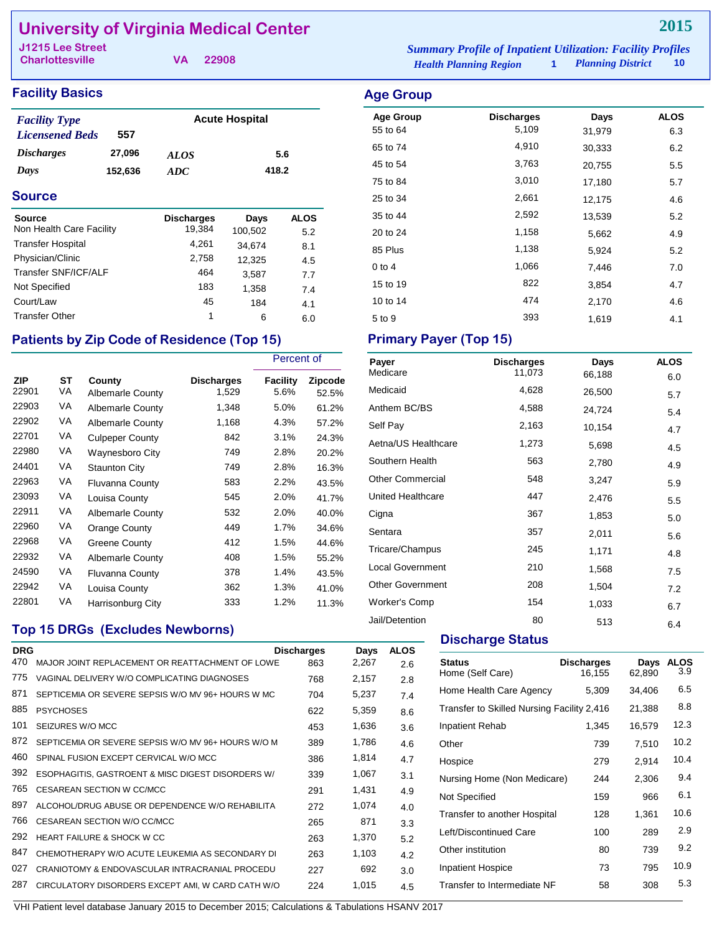# **University of Virginia Medical Center**

**Charlottesville**

**VA 22908**

#### **Facility Basics Age Group**

| <b>Facility Type</b>     |         |             | <b>Acute Hospital</b> |
|--------------------------|---------|-------------|-----------------------|
| <b>Licensened Beds</b>   | 557     |             |                       |
| <i><b>Discharges</b></i> | 27,096  | <b>ALOS</b> | 5.6                   |
| Days                     | 152,636 | ADC.        | 418.2                 |

#### **Source**

| <b>Source</b>            | <b>Discharges</b> | Days    | <b>ALOS</b> |
|--------------------------|-------------------|---------|-------------|
| Non Health Care Facility | 19,384            | 100,502 | 5.2         |
| <b>Transfer Hospital</b> | 4,261             | 34,674  | 8.1         |
| Physician/Clinic         | 2,758             | 12,325  | 4.5         |
| Transfer SNF/ICF/ALF     | 464               | 3,587   | 7.7         |
| Not Specified            | 183               | 1,358   | 7.4         |
| Court/Law                | 45                | 184     | 4.1         |
| <b>Transfer Other</b>    | 1                 | 6       | 6.0         |

## Patients by Zip Code of Residence (Top 15) Primary Payer (Top 15)

|                     |          |                                   |                            | Percent of              |                  |
|---------------------|----------|-----------------------------------|----------------------------|-------------------------|------------------|
| <b>ZIP</b><br>22901 | ST<br>VA | County<br><b>Albemarle County</b> | <b>Discharges</b><br>1,529 | <b>Facility</b><br>5.6% | Zipcode<br>52.5% |
| 22903               | VA       | <b>Albemarle County</b>           | 1,348                      | 5.0%                    | 61.2%            |
| 22902               | VA       | <b>Albemarle County</b>           | 1,168                      | 4.3%                    | 57.2%            |
| 22701               | VA       | <b>Culpeper County</b>            | 842                        | 3.1%                    | 24.3%            |
| 22980               | VA       | Waynesboro City                   | 749                        | 2.8%                    | 20.2%            |
| 24401               | VA       | <b>Staunton City</b>              | 749                        | 2.8%                    | 16.3%            |
| 22963               | VA       | Fluvanna County                   | 583                        | 2.2%                    | 43.5%            |
| 23093               | VA       | Louisa County                     | 545                        | 2.0%                    | 41.7%            |
| 22911               | VA       | <b>Albemarle County</b>           | 532                        | 2.0%                    | 40.0%            |
| 22960               | VA       | Orange County                     | 449                        | 1.7%                    | 34.6%            |
| 22968               | VA       | Greene County                     | 412                        | 1.5%                    | 44.6%            |
| 22932               | VA       | <b>Albemarle County</b>           | 408                        | 1.5%                    | 55.2%            |
| 24590               | VA       | <b>Fluvanna County</b>            | 378                        | 1.4%                    | 43.5%            |
| 22942               | VA       | Louisa County                     | 362                        | 1.3%                    | 41.0%            |
| 22801               | VA       | Harrisonburg City                 | 333                        | 1.2%                    | 11.3%            |

### **Top 15 DRGs (Excludes Newborns)**

| <b>DRG</b><br>470 | MAJOR JOINT REPLACEMENT OR REATTACHMENT OF LOWE    | <b>Discharges</b><br>863 | Days<br>2,267 | <b>ALOS</b><br>2.6 |
|-------------------|----------------------------------------------------|--------------------------|---------------|--------------------|
| 775               | VAGINAL DELIVERY W/O COMPLICATING DIAGNOSES        | 768                      | 2,157         | 2.8                |
| 871               | SEPTICEMIA OR SEVERE SEPSIS W/O MV 96+ HOURS W MC  | 704                      | 5,237         | 7.4                |
| 885               | <b>PSYCHOSES</b>                                   | 622                      | 5,359         | 8.6                |
| 101               | SEIZURES W/O MCC                                   | 453                      | 1,636         | 3.6                |
| 872               | SEPTICEMIA OR SEVERE SEPSIS W/O MV 96+ HOURS W/O M | 389                      | 1,786         | 4.6                |
| 460               | SPINAL FUSION EXCEPT CERVICAL W/O MCC              | 386                      | 1,814         | 4.7                |
| 392               | ESOPHAGITIS, GASTROENT & MISC DIGEST DISORDERS W/  | 339                      | 1,067         | 3.1                |
| 765               | CESAREAN SECTION W CC/MCC                          | 291                      | 1,431         | 4.9                |
| 897               | ALCOHOL/DRUG ABUSE OR DEPENDENCE W/O REHABILITA    | 272                      | 1,074         | 4.0                |
| 766               | CESAREAN SECTION W/O CC/MCC                        | 265                      | 871           | 3.3                |
| 292               | HEART FAILURE & SHOCK W CC                         | 263                      | 1,370         | 5.2                |
| 847               | CHEMOTHERAPY W/O ACUTE LEUKEMIA AS SECONDARY DI    | 263                      | 1,103         | 4.2                |
| 027               | CRANIOTOMY & ENDOVASCULAR INTRACRANIAL PROCEDU     | 227                      | 692           | 3.0                |
| 287               | CIRCULATORY DISORDERS EXCEPT AMI, W CARD CATH W/O  | 224                      | 1,015         | 4.5                |
|                   |                                                    |                          |               |                    |

*Health Planning Region* **1** *Planning District* **10 J1215 Lee Street** *Summary Profile of Inpatient Utilization: Facility Profiles*

# Age Group **Discharges** Days ALOS 55 to 64 5,109 31,979 6.3 65 to 74 4,910 30,333 6.2 45 to 54 3,763 20,755 5.5 75 to 84 **3,010** 17,180 5.7 25 to 34 2,661 12,175 4.6 35 to 44 2,592 13,539 5.2 20 to 24 1,158 5,662 4.9 85 Plus 1,138 5,924 5.2 0 to 4 1,066 7,446 7.0 15 to 19 10 10 11 12 13,854 15 to 19 12 13,854 15 16 17 17 18 18 19 19 19 19 19 1 10 to 14 **474** 2,170 4.6 5 to 9 393 1,619 4.1

| Payer                   | <b>Discharges</b> | Days   | <b>ALOS</b> |
|-------------------------|-------------------|--------|-------------|
| Medicare                | 11,073            | 66,188 | 6.0         |
| Medicaid                | 4,628             | 26,500 | 5.7         |
| Anthem BC/BS            | 4,588             | 24,724 | 5.4         |
| Self Pay                | 2,163             | 10,154 | 4.7         |
| Aetna/US Healthcare     | 1,273             | 5,698  | 4.5         |
| Southern Health         | 563               | 2,780  | 4.9         |
| <b>Other Commercial</b> | 548               | 3,247  | 5.9         |
| United Healthcare       | 447               | 2,476  | 5.5         |
| Cigna                   | 367               | 1,853  | 5.0         |
| Sentara                 | 357               | 2,011  | 5.6         |
| Tricare/Champus         | 245               | 1,171  | 4.8         |
| <b>Local Government</b> | 210               | 1,568  | 7.5         |
| <b>Other Government</b> | 208               | 1,504  | 7.2         |
| <b>Worker's Comp</b>    | 154               | 1,033  | 6.7         |
| Jail/Detention          | 80                | 513    | 6.4         |

#### **Discharge Status**

| <b>Status</b><br>Home (Self Care)          | <b>Discharges</b><br>16.155 | Days<br>62,890 | <b>ALOS</b><br>3.9 |
|--------------------------------------------|-----------------------------|----------------|--------------------|
| Home Health Care Agency                    | 5,309                       | 34,406         | 6.5                |
| Transfer to Skilled Nursing Facility 2,416 |                             | 21,388         | 8.8                |
| Inpatient Rehab                            | 1.345                       | 16,579         | 12.3               |
| Other                                      | 739                         | 7,510          | 10.2               |
| Hospice                                    | 279                         | 2,914          | 10.4               |
| Nursing Home (Non Medicare)                | 244                         | 2,306          | 9.4                |
| Not Specified                              | 159                         | 966            | 6.1                |
| Transfer to another Hospital               | 128                         | 1,361          | 10.6               |
| Left/Discontinued Care                     | 100                         | 289            | 2.9                |
| Other institution                          | 80                          | 739            | 9.2                |
| <b>Inpatient Hospice</b>                   | 73                          | 795            | 10.9               |
| Transfer to Intermediate NF                | 58                          | 308            | 5.3                |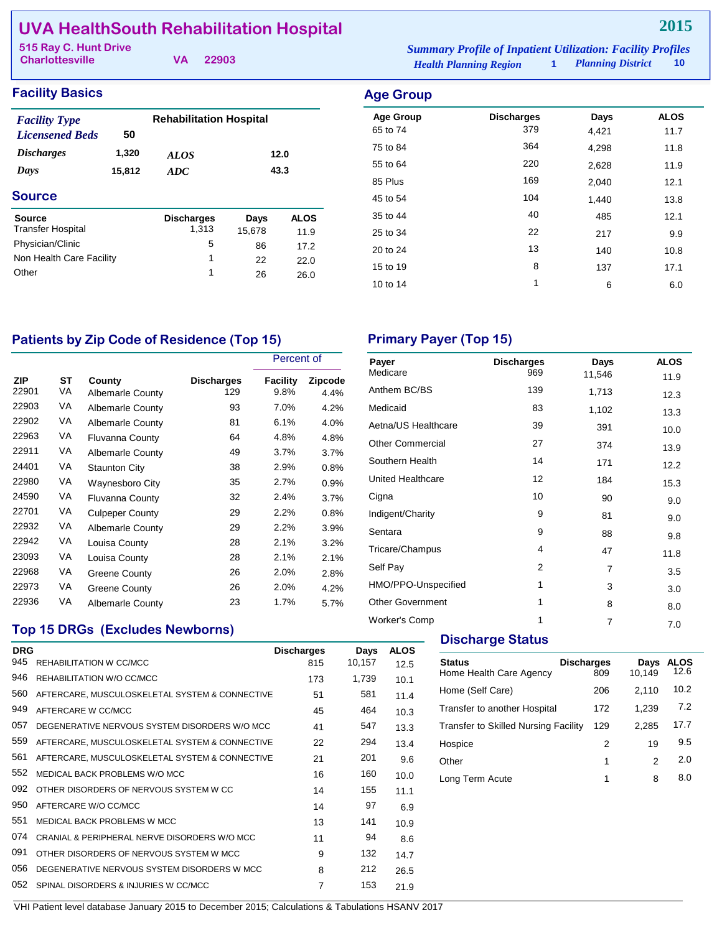# **UVA HealthSouth Rehabilitation Hospital**

| 515 Ray C. Hunt Drive  |  | <b>Summary Profile of Inpatient Utilization: Facility Profiles</b> |                               |                          |      |
|------------------------|--|--------------------------------------------------------------------|-------------------------------|--------------------------|------|
| <b>Charlottesville</b> |  | VA 22903                                                           | <b>Health Planning Region</b> | <b>Planning District</b> | - 10 |

## **Facility Basics Age Group**

| <b>Facility Type</b>     |        | <b>Rehabilitation Hospital</b> |        |             |
|--------------------------|--------|--------------------------------|--------|-------------|
| <b>Licensened Beds</b>   | 50     |                                |        |             |
| <i><b>Discharges</b></i> | 1,320  | <b>ALOS</b>                    |        | 12.0        |
| Days                     | 15,812 | ADC                            |        | 43.3        |
| <b>Source</b>            |        |                                |        |             |
| <b>Source</b>            |        | <b>Discharges</b>              | Days   | <b>ALOS</b> |
| <b>Transfer Hospital</b> |        | 1,313                          | 15,678 | 11.9        |
| Physician/Clinic         |        | 5                              | 86     | 17.2        |
| Non Health Care Facility |        | 1                              | 22     | 22.0        |
| Other                    |        | 1                              | 26     | 26.0        |

| $\sim$           |                   |       |             |
|------------------|-------------------|-------|-------------|
| <b>Age Group</b> | <b>Discharges</b> | Days  | <b>ALOS</b> |
| 65 to 74         | 379               | 4,421 | 11.7        |
| 75 to 84         | 364               | 4,298 | 11.8        |
| 55 to 64         | 220               | 2,628 | 11.9        |
| 85 Plus          | 169               | 2,040 | 12.1        |
| 45 to 54         | 104               | 1,440 | 13.8        |
| 35 to 44         | 40                | 485   | 12.1        |
| 25 to 34         | 22                | 217   | 9.9         |
| 20 to 24         | 13                | 140   | 10.8        |
| 15 to 19         | 8                 | 137   | 17.1        |
| 10 to 14         | 1                 | 6     | 6.0         |
|                  |                   |       |             |

# Patients by Zip Code of Residence (Top 15) **Primary Payer (Top 15)**

|                     |          |                                   |                          | Percent of       |                 |
|---------------------|----------|-----------------------------------|--------------------------|------------------|-----------------|
| <b>ZIP</b><br>22901 | ST<br>VA | County<br><b>Albemarle County</b> | <b>Discharges</b><br>129 | Facility<br>9.8% | Zipcode<br>4.4% |
| 22903               | VA       | <b>Albemarle County</b>           | 93                       | 7.0%             | 4.2%            |
| 22902               | VA       | <b>Albemarle County</b>           | 81                       | 6.1%             | 4.0%            |
| 22963               | VA       | <b>Fluvanna County</b>            | 64                       | 4.8%             | 4.8%            |
| 22911               | VA       | <b>Albemarle County</b>           | 49                       | 3.7%             | 3.7%            |
| 24401               | VA       | <b>Staunton City</b>              | 38                       | 2.9%             | 0.8%            |
| 22980               | VA       | Waynesboro City                   | 35                       | 2.7%             | 0.9%            |
| 24590               | VA       | <b>Fluvanna County</b>            | 32                       | 2.4%             | 3.7%            |
| 22701               | VA       | <b>Culpeper County</b>            | 29                       | 2.2%             | 0.8%            |
| 22932               | VA       | <b>Albemarle County</b>           | 29                       | 2.2%             | 3.9%            |
| 22942               | VA       | Louisa County                     | 28                       | 2.1%             | 3.2%            |
| 23093               | VA       | Louisa County                     | 28                       | 2.1%             | 2.1%            |
| 22968               | VA       | <b>Greene County</b>              | 26                       | 2.0%             | 2.8%            |
| 22973               | VA       | Greene County                     | 26                       | 2.0%             | 4.2%            |
| 22936               | VA       | <b>Albemarle County</b>           | 23                       | 1.7%             | 5.7%            |

| Payer                   | <b>Discharges</b> | Days           | <b>ALOS</b> |
|-------------------------|-------------------|----------------|-------------|
| Medicare                | 969               | 11,546         | 11.9        |
| Anthem BC/BS            | 139               | 1,713          | 12.3        |
| Medicaid                | 83                | 1,102          | 13.3        |
| Aetna/US Healthcare     | 39                | 391            | 10.0        |
| <b>Other Commercial</b> | 27                | 374            | 13.9        |
| Southern Health         | 14                | 171            | 12.2        |
| United Healthcare       | 12                | 184            | 15.3        |
| Cigna                   | 10                | 90             | 9.0         |
| Indigent/Charity        | 9                 | 81             | 9.0         |
| Sentara                 | 9                 | 88             | 9.8         |
| Tricare/Champus         | 4                 | 47             | 11.8        |
| Self Pay                | 2                 | 7              | 3.5         |
| HMO/PPO-Unspecified     | 1                 | 3              | 3.0         |
| <b>Other Government</b> | 1                 | 8              | 8.0         |
| Worker's Comp           | 1                 | $\overline{7}$ | 7.0         |
|                         |                   |                |             |

## **Top 15 DRGs (Excludes Newborns)**

| <b>DRG</b> |                                                | <b>Discharges</b> | Days   | <b>ALOS</b> |
|------------|------------------------------------------------|-------------------|--------|-------------|
| 945        | REHABILITATION W CC/MCC                        | 815               | 10,157 | 12.5        |
| 946        | REHABILITATION W/O CC/MCC                      | 173               | 1,739  | 10.1        |
| 560        | AFTERCARE, MUSCULOSKELETAL SYSTEM & CONNECTIVE | 51                | 581    | 11.4        |
| 949        | AFTERCARE W CC/MCC                             | 45                | 464    | 10.3        |
| 057        | DEGENERATIVE NERVOUS SYSTEM DISORDERS W/O MCC  | 41                | 547    | 13.3        |
| 559        | AFTERCARE, MUSCULOSKELETAL SYSTEM & CONNECTIVE | 22                | 294    | 13.4        |
| 561        | AFTERCARE, MUSCULOSKELETAL SYSTEM & CONNECTIVE | 21                | 201    | 9.6         |
| 552        | MEDICAL BACK PROBLEMS W/O MCC                  | 16                | 160    | 10.0        |
| 092        | OTHER DISORDERS OF NERVOUS SYSTEM W CC.        | 14                | 155    | 11.1        |
| 950        | AFTERCARE W/O CC/MCC                           | 14                | 97     | 6.9         |
| 551        | MEDICAL BACK PROBLEMS W MCC                    | 13                | 141    | 10.9        |
| 074        | CRANIAL & PERIPHERAL NERVE DISORDERS W/O MCC   | 11                | 94     | 8.6         |
| 091        | OTHER DISORDERS OF NERVOUS SYSTEM W MCC.       | 9                 | 132    | 14.7        |
| 056        | DEGENERATIVE NERVOUS SYSTEM DISORDERS W MCC    | 8                 | 212    | 26.5        |
| 052        | SPINAL DISORDERS & INJURIES W CC/MCC           | $\overline{7}$    | 153    | 21.9        |
|            |                                                |                   |        |             |

### **Discharge Status**

| <b>Status</b><br>Home Health Care Agency    | <b>Discharges</b><br>809 | Days<br>10.149 | ALOS<br>12.6 |
|---------------------------------------------|--------------------------|----------------|--------------|
| Home (Self Care)                            | 206                      | 2,110          | 10.2         |
| Transfer to another Hospital                | 172                      | 1.239          | 7.2          |
| <b>Transfer to Skilled Nursing Facility</b> | 129                      | 2.285          | 17.7         |
| Hospice                                     | 2                        | 19             | 9.5          |
| Other                                       | 1                        | 2              | 2.0          |
| Long Term Acute                             | 1                        | 8              | 8.0          |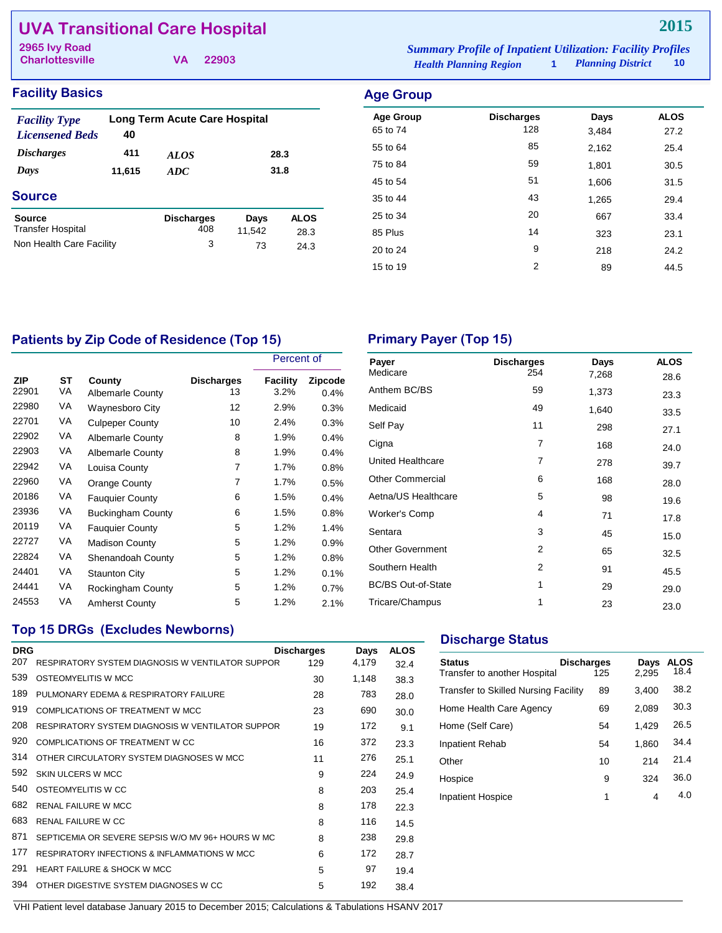# **UVA Transitional Care Hospital**

**Charlottesville**

| 2965 Ivy Road          |          | <b>Summary Profile of Inpatient Utilization: Facility Profiles</b> |                     |        |
|------------------------|----------|--------------------------------------------------------------------|---------------------|--------|
| <b>Charlottesville</b> | VA 22903 | <b>Health Planning Region</b>                                      | 1 Planning District | - 10 - |

| <b>Facility Basics</b> | <b>Age Group</b> |
|------------------------|------------------|
|                        |                  |

| <b>Facility Type</b><br><b>Licensened Beds</b> | 40     | Long Term Acute Care Hospital |                |                     |
|------------------------------------------------|--------|-------------------------------|----------------|---------------------|
| <i><b>Discharges</b></i>                       | 411    | <i>ALOS</i>                   |                | 28.3                |
| Days                                           | 11,615 | ADC                           |                | 31.8                |
| <b>Source</b>                                  |        |                               |                |                     |
| Source<br><b>Transfer Hospital</b>             |        | <b>Discharges</b><br>408      | Days<br>11,542 | <b>ALOS</b><br>28.3 |
| Non Health Care Facility                       |        | 3                             | 73             | 24.3                |

| Aye Group        |                   |       |             |
|------------------|-------------------|-------|-------------|
| <b>Age Group</b> | <b>Discharges</b> | Days  | <b>ALOS</b> |
| 65 to 74         | 128               | 3,484 | 27.2        |
| 55 to 64         | 85                | 2,162 | 25.4        |
| 75 to 84         | 59                | 1,801 | 30.5        |
| 45 to 54         | 51                | 1,606 | 31.5        |
| 35 to 44         | 43                | 1,265 | 29.4        |
| 25 to 34         | 20                | 667   | 33.4        |
| 85 Plus          | 14                | 323   | 23.1        |
| 20 to 24         | 9                 | 218   | 24.2        |
| 15 to 19         | 2                 | 89    | 44.5        |
|                  |                   |       |             |

# Patients by Zip Code of Residence (Top 15) **Primary Payer (Top 15)**

|                     |          |                                   |                         | Percent of       |                 |
|---------------------|----------|-----------------------------------|-------------------------|------------------|-----------------|
| <b>ZIP</b><br>22901 | SТ<br>VA | County<br><b>Albemarle County</b> | <b>Discharges</b><br>13 | Facility<br>3.2% | Zipcode<br>0.4% |
| 22980               | VA       | <b>Waynesboro City</b>            | 12                      | 2.9%             | 0.3%            |
| 22701               | VA       | <b>Culpeper County</b>            | 10                      | 2.4%             | 0.3%            |
| 22902               | VA       | <b>Albemarle County</b>           | 8                       | 1.9%             | 0.4%            |
| 22903               | VA       | <b>Albemarle County</b>           | 8                       | 1.9%             | 0.4%            |
| 22942               | VA       | Louisa County                     | 7                       | 1.7%             | 0.8%            |
| 22960               | VA       | Orange County                     | 7                       | 1.7%             | 0.5%            |
| 20186               | VA       | <b>Fauguier County</b>            | 6                       | 1.5%             | 0.4%            |
| 23936               | VA       | <b>Buckingham County</b>          | 6                       | 1.5%             | 0.8%            |
| 20119               | VA       | <b>Fauquier County</b>            | 5                       | 1.2%             | 1.4%            |
| 22727               | VA       | <b>Madison County</b>             | 5                       | 1.2%             | 0.9%            |
| 22824               | VA       | Shenandoah County                 | 5                       | 1.2%             | 0.8%            |
| 24401               | VA       | <b>Staunton City</b>              | 5                       | 1.2%             | 0.1%            |
| 24441               | VA       | Rockingham County                 | 5                       | 1.2%             | 0.7%            |
| 24553               | VA       | <b>Amherst County</b>             | 5                       | 1.2%             | 2.1%            |

| Payer                     | <b>Discharges</b> | Days  | <b>ALOS</b> |
|---------------------------|-------------------|-------|-------------|
| Medicare                  | 254               | 7,268 | 28.6        |
| Anthem BC/BS              | 59                | 1,373 | 23.3        |
| Medicaid                  | 49                | 1,640 | 33.5        |
| Self Pay                  | 11                | 298   | 27.1        |
| Cigna                     | 7                 | 168   | 24.0        |
| United Healthcare         | 7                 | 278   | 39.7        |
| <b>Other Commercial</b>   | 6                 | 168   | 28.0        |
| Aetna/US Healthcare       | 5                 | 98    | 19.6        |
| <b>Worker's Comp</b>      | 4                 | 71    | 17.8        |
| Sentara                   | 3                 | 45    | 15.0        |
| <b>Other Government</b>   | 2                 | 65    | 32.5        |
| Southern Health           | 2                 | 91    | 45.5        |
| <b>BC/BS Out-of-State</b> | 1                 | 29    | 29.0        |
| Tricare/Champus           | 1                 | 23    | 23.0        |

## **Top 15 DRGs (Excludes Newborns)**

| <b>DRG</b> |                                                         | <b>Discharges</b> | Days  | <b>ALOS</b> |
|------------|---------------------------------------------------------|-------------------|-------|-------------|
| 207        | RESPIRATORY SYSTEM DIAGNOSIS W VENTILATOR SUPPOR        | 129               | 4,179 | 32.4        |
| 539        | OSTEOMYELITIS W MCC                                     | 30                | 1,148 | 38.3        |
| 189        | PULMONARY EDEMA & RESPIRATORY FAILURE                   | 28                | 783   | 28.0        |
| 919        | COMPLICATIONS OF TREATMENT W MCC                        | 23                | 690   | 30.0        |
| 208        | <b>RESPIRATORY SYSTEM DIAGNOSIS W VENTILATOR SUPPOR</b> | 19                | 172   | 9.1         |
| 920        | COMPLICATIONS OF TREATMENT W CC                         | 16                | 372   | 23.3        |
| 314        | OTHER CIRCULATORY SYSTEM DIAGNOSES W MCC                | 11                | 276   | 25.1        |
| 592        | SKIN UI CERS W MCC                                      | 9                 | 224   | 24.9        |
| 540        | OSTEOMYELITIS W CC                                      | 8                 | 203   | 25.4        |
| 682        | <b>RENAL FAILURE W MCC</b>                              | 8                 | 178   | 22.3        |
| 683        | <b>RENAL FAILURE W CC</b>                               | 8                 | 116   | 14.5        |
| 871        | SEPTICEMIA OR SEVERE SEPSIS W/O MV 96+ HOURS W MC       | 8                 | 238   | 29.8        |
| 177        | RESPIRATORY INFECTIONS & INFLAMMATIONS W MCC            | 6                 | 172   | 28.7        |
| 291        | <b>HEART FAILURE &amp; SHOCK W MCC</b>                  | 5                 | 97    | 19.4        |
| 394        | OTHER DIGESTIVE SYSTEM DIAGNOSES W CC                   | 5                 | 192   | 38.4        |
|            |                                                         |                   |       |             |

### **Discharge Status**

| <b>Status</b><br>Transfer to another Hospital | <b>Discharges</b><br>125 | Days<br>2.295 | ALOS<br>18.4 |
|-----------------------------------------------|--------------------------|---------------|--------------|
| <b>Transfer to Skilled Nursing Facility</b>   | 89                       | 3,400         | 38.2         |
| Home Health Care Agency                       | 69                       | 2.089         | 30.3         |
| Home (Self Care)                              | 54                       | 1,429         | 26.5         |
| Inpatient Rehab                               | 54                       | 1.860         | 34.4         |
| Other                                         | 10                       | 214           | 21.4         |
| Hospice                                       | 9                        | 324           | 36.0         |
| <b>Inpatient Hospice</b>                      | 1                        | 4             | 4.0          |
|                                               |                          |               |              |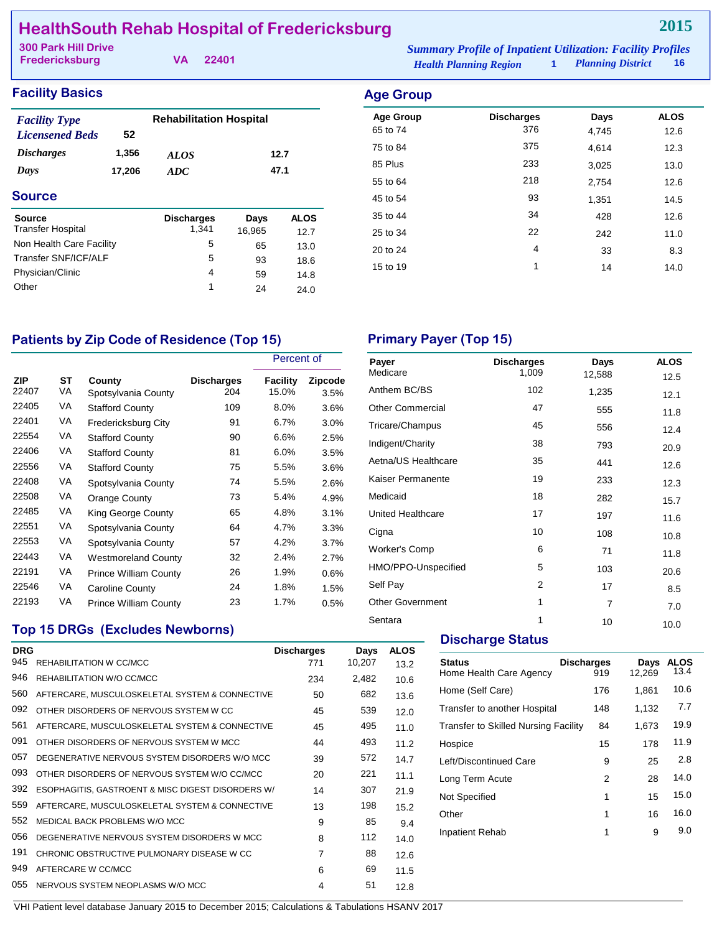# **HealthSouth Rehab Hospital of Fredericksburg**

| <b>300 Park Hill Drive</b> |  |          | <b>Summary Profile of Inpatient Utilization: Facility Profiles</b> |                     |      |
|----------------------------|--|----------|--------------------------------------------------------------------|---------------------|------|
| Fredericksburg             |  | VA 22401 | <b>Health Planning Region</b>                                      | 1 Planning District | - 16 |

## **Facility Basics Age Group**

| <b>Facility Type</b><br><b>Licensened Beds</b> | 52              | <b>Rehabilitation Hospital</b> |                |                     |  |
|------------------------------------------------|-----------------|--------------------------------|----------------|---------------------|--|
| <i><b>Discharges</b></i><br>Days               | 1,356<br>17,206 | <b>ALOS</b><br>ADC             | 12.7<br>47.1   |                     |  |
| <b>Source</b>                                  |                 |                                |                |                     |  |
| Source<br><b>Transfer Hospital</b>             |                 | <b>Discharges</b><br>1.341     | Days<br>16,965 | <b>ALOS</b><br>12.7 |  |
| Non Health Care Facility                       |                 | 5                              | 65             | 13.0                |  |
| <b>Transfer SNF/ICF/ALF</b>                    |                 | 5                              | 93             | 18.6                |  |
| Physician/Clinic                               |                 | 4                              | 59             | 14.8                |  |
| Other                                          |                 | 1                              | 24             | 24.0                |  |

| Aye Group        |                   |       |             |
|------------------|-------------------|-------|-------------|
| <b>Age Group</b> | <b>Discharges</b> | Days  | <b>ALOS</b> |
| 65 to 74         | 376               | 4,745 | 12.6        |
| 75 to 84         | 375               | 4.614 | 12.3        |
| 85 Plus          | 233               | 3,025 | 13.0        |
| 55 to 64         | 218               | 2,754 | 12.6        |
| 45 to 54         | 93                | 1,351 | 14.5        |
| 35 to 44         | 34                | 428   | 12.6        |
| 25 to 34         | 22                | 242   | 11.0        |
| 20 to 24         | 4                 | 33    | 8.3         |
| 15 to 19         | 1                 | 14    | 14.0        |
|                  |                   |       |             |

# Patients by Zip Code of Residence (Top 15) **Primary Payer (Top 15)**

|                     |          |                               |                          | Percent of               |                        |
|---------------------|----------|-------------------------------|--------------------------|--------------------------|------------------------|
| <b>ZIP</b><br>22407 | ST<br>VA | County<br>Spotsylvania County | <b>Discharges</b><br>204 | <b>Facility</b><br>15.0% | <b>Zipcode</b><br>3.5% |
| 22405               | VA       | <b>Stafford County</b>        | 109                      | 8.0%                     | 3.6%                   |
| 22401               | VA       | Fredericksburg City           | 91                       | 6.7%                     | $3.0\%$                |
| 22554               | VA       | <b>Stafford County</b>        | 90                       | 6.6%                     | 2.5%                   |
| 22406               | VA       | <b>Stafford County</b>        | 81                       | 6.0%                     | 3.5%                   |
| 22556               | VA       | <b>Stafford County</b>        | 75                       | 5.5%                     | 3.6%                   |
| 22408               | VA       | Spotsylvania County           | 74                       | 5.5%                     | 2.6%                   |
| 22508               | VA       | Orange County                 | 73                       | 5.4%                     | 4.9%                   |
| 22485               | VA       | King George County            | 65                       | 4.8%                     | 3.1%                   |
| 22551               | VA       | Spotsylvania County           | 64                       | 4.7%                     | 3.3%                   |
| 22553               | VA       | Spotsylvania County           | 57                       | 4.2%                     | 3.7%                   |
| 22443               | VA       | <b>Westmoreland County</b>    | 32                       | 2.4%                     | 2.7%                   |
| 22191               | VA       | <b>Prince William County</b>  | 26                       | 1.9%                     | 0.6%                   |
| 22546               | VA       | Caroline County               | 24                       | 1.8%                     | 1.5%                   |
| 22193               | VA       | <b>Prince William County</b>  | 23                       | 1.7%                     | 0.5%                   |

| Payer                   | <b>Discharges</b> | Days           | <b>ALOS</b> |
|-------------------------|-------------------|----------------|-------------|
| Medicare                | 1,009             | 12,588         | 12.5        |
| Anthem BC/BS            | 102               | 1,235          | 12.1        |
| <b>Other Commercial</b> | 47                | 555            | 11.8        |
| Tricare/Champus         | 45                | 556            | 12.4        |
| Indigent/Charity        | 38                | 793            | 20.9        |
| Aetna/US Healthcare     | 35                | 441            | 12.6        |
| Kaiser Permanente       | 19                | 233            | 12.3        |
| Medicaid                | 18                | 282            | 15.7        |
| United Healthcare       | 17                | 197            | 11.6        |
| Cigna                   | 10                | 108            | 10.8        |
| Worker's Comp           | 6                 | 71             | 11.8        |
| HMO/PPO-Unspecified     | 5                 | 103            | 20.6        |
| Self Pay                | $\overline{2}$    | 17             | 8.5         |
| <b>Other Government</b> | 1                 | $\overline{7}$ | 7.0         |
| Sentara                 | 1                 | 10             | 10.0        |
|                         |                   |                |             |

# **Top 15 DRGs (Excludes Newborns)**

| <b>DRG</b><br>945 |                                                   | <b>Discharges</b> | Days   | <b>ALOS</b> |  |
|-------------------|---------------------------------------------------|-------------------|--------|-------------|--|
|                   | REHABILITATION W CC/MCC                           | 771               | 10,207 | 13.2        |  |
| 946               | REHABILITATION W/O CC/MCC                         | 234               | 2,482  | 10.6        |  |
| 560               | AFTERCARE, MUSCULOSKELETAL SYSTEM & CONNECTIVE    | 50                | 682    | 13.6        |  |
| 092               | OTHER DISORDERS OF NERVOUS SYSTEM W CC            | 45                | 539    | 12.0        |  |
| 561               | AFTERCARE, MUSCULOSKELETAL SYSTEM & CONNECTIVE    | 45                | 495    | 11.0        |  |
| 091               | OTHER DISORDERS OF NERVOUS SYSTEM W MCC.          | 44                | 493    | 11.2        |  |
| 057               | DEGENERATIVE NERVOUS SYSTEM DISORDERS W/O MCC     | 39                | 572    | 14.7        |  |
| 093               | OTHER DISORDERS OF NERVOUS SYSTEM W/O CC/MCC      | 20                | 221    | 11.1        |  |
| 392               | ESOPHAGITIS, GASTROENT & MISC DIGEST DISORDERS W/ | 14                | 307    | 21.9        |  |
| 559               | AFTERCARE, MUSCULOSKELETAL SYSTEM & CONNECTIVE    | 13                | 198    | 15.2        |  |
| 552               | MEDICAL BACK PROBLEMS W/O MCC                     | 9                 | 85     | 9.4         |  |
| 056               | DEGENERATIVE NERVOUS SYSTEM DISORDERS W MCC       | 8                 | 112    | 14.0        |  |
| 191               | CHRONIC OBSTRUCTIVE PULMONARY DISEASE W CC        | $\overline{7}$    | 88     | 12.6        |  |
| 949               | AFTERCARE W CC/MCC                                | 6                 | 69     | 11.5        |  |
| 055               | NERVOUS SYSTEM NEOPLASMS W/O MCC                  | 4                 | 51     | 12.8        |  |

## **Discharge Status**

| 176<br>148<br>84 | 1,861<br>1,132 | 10.6<br>7.7 |
|------------------|----------------|-------------|
|                  |                |             |
|                  |                |             |
|                  | 1,673          | 19.9        |
| 15               | 178            | 11.9        |
| 9                | 25             | 2.8         |
| 2                | 28             | 14.0        |
| 1                | 15             | 15.0        |
| 1                | 16             | 16.0        |
| 1                | 9              | 9.0         |
|                  |                |             |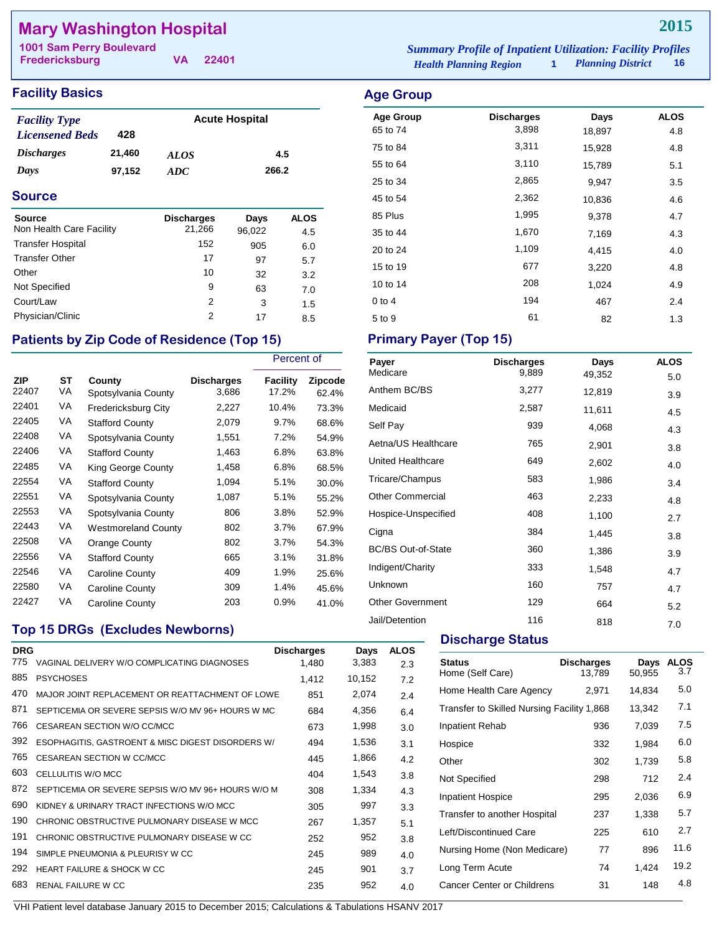# **Mary Washington Hospital**

**Fredericksburg**

**VA 22401**

#### **Facility Basics Age Group Age Group**

| <b>Facility Type</b>     |        | <b>Acute Hospital</b> |       |  |
|--------------------------|--------|-----------------------|-------|--|
| <b>Licensened Beds</b>   | 428    |                       |       |  |
| <i><b>Discharges</b></i> | 21,460 | <b>ALOS</b>           | 4.5   |  |
| Days                     | 97,152 | ADC.                  | 266.2 |  |

#### **Source**

| <b>Source</b><br>Non Health Care Facility | <b>Discharges</b><br>21,266 | Days<br>96,022 | <b>ALOS</b><br>4.5 |
|-------------------------------------------|-----------------------------|----------------|--------------------|
| <b>Transfer Hospital</b>                  | 152                         | 905            | 6.0                |
| <b>Transfer Other</b>                     | 17                          | 97             | 5.7                |
| Other                                     | 10                          | 32             | 3.2                |
| Not Specified                             | 9                           | 63             | 7.0                |
| Court/Law                                 | 2                           | 3              | 1.5                |
| Physician/Clinic                          | 2                           | 17             | 8.5                |

## Patients by Zip Code of Residence (Top 15) Primary Payer (Top 15)

|                     |          |                               |                     | Percent of        |                  |
|---------------------|----------|-------------------------------|---------------------|-------------------|------------------|
| <b>ZIP</b><br>22407 | ST<br>VA | County<br>Spotsylvania County | Discharges<br>3,686 | Facility<br>17.2% | Zipcode<br>62.4% |
| 22401               | VA       | Fredericksburg City           | 2,227               | 10.4%             | 73.3%            |
| 22405               | VA       | <b>Stafford County</b>        | 2,079               | 9.7%              | 68.6%            |
| 22408               | VA       | Spotsylvania County           | 1,551               | 7.2%              | 54.9%            |
| 22406               | VA       | <b>Stafford County</b>        | 1,463               | 6.8%              | 63.8%            |
| 22485               | VA       | King George County            | 1,458               | 6.8%              | 68.5%            |
| 22554               | VA       | <b>Stafford County</b>        | 1,094               | 5.1%              | 30.0%            |
| 22551               | VA       | Spotsylvania County           | 1,087               | 5.1%              | 55.2%            |
| 22553               | VA       | Spotsylvania County           | 806                 | 3.8%              | 52.9%            |
| 22443               | VA       | Westmoreland County           | 802                 | 3.7%              | 67.9%            |
| 22508               | VA       | Orange County                 | 802                 | 3.7%              | 54.3%            |
| 22556               | VA       | <b>Stafford County</b>        | 665                 | 3.1%              | 31.8%            |
| 22546               | VA       | Caroline County               | 409                 | 1.9%              | 25.6%            |
| 22580               | VA       | Caroline County               | 309                 | 1.4%              | 45.6%            |
| 22427               | VA       | Caroline County               | 203                 | 0.9%              | 41.0%            |

### **Top 15 DRGs (Excludes Newborns)**

| <b>DRG</b><br>775 | VAGINAL DELIVERY W/O COMPLICATING DIAGNOSES        | <b>Discharges</b><br>1,480 | Days<br>3,383 | <b>ALOS</b><br>2.3 |
|-------------------|----------------------------------------------------|----------------------------|---------------|--------------------|
| 885               | <b>PSYCHOSES</b>                                   | 1,412                      | 10,152        | 7.2                |
| 470               | MAJOR JOINT REPLACEMENT OR REATTACHMENT OF LOWE    | 851                        | 2,074         | 2.4                |
| 871               | SEPTICEMIA OR SEVERE SEPSIS W/O MV 96+ HOURS W MC  | 684                        | 4,356         | 6.4                |
| 766               | CESAREAN SECTION W/O CC/MCC                        | 673                        | 1,998         | 3.0                |
| 392               | ESOPHAGITIS, GASTROENT & MISC DIGEST DISORDERS W/  | 494                        | 1,536         | 3.1                |
| 765               | CESAREAN SECTION W CC/MCC                          | 445                        | 1,866         | 4.2                |
| 603               | CELLULITIS W/O MCC                                 | 404                        | 1,543         | 3.8                |
| 872               | SEPTICEMIA OR SEVERE SEPSIS W/O MV 96+ HOURS W/O M | 308                        | 1,334         | 4.3                |
| 690               | KIDNEY & URINARY TRACT INFECTIONS W/O MCC          | 305                        | 997           | 3.3                |
| 190               | CHRONIC OBSTRUCTIVE PULMONARY DISEASE W MCC        | 267                        | 1,357         | 5.1                |
| 191               | CHRONIC OBSTRUCTIVE PULMONARY DISEASE W CC         | 252                        | 952           | 3.8                |
| 194               | SIMPLE PNEUMONIA & PLEURISY W CC                   | 245                        | 989           | 4.0                |
| 292               | HEART FAILURE & SHOCK W CC                         | 245                        | 901           | 3.7                |
| 683               | <b>RENAL FAILURE W CC</b>                          | 235                        | 952           | 4.0                |
|                   |                                                    |                            |               |                    |

*Health Planning Region* **1** *Planning District* **16 1001 Sam Perry Boulevard** *Summary Profile of Inpatient Utilization: Facility Profiles*

# Age Group **Discharges** Days ALOS 65 to 74 3,898 18,897 4.8 75 to 84 3,311 15,928 4.8 55 to 64 3,110 15,789 5.1 25 to 34 2,865 9,947 3.5 45 to 54 2,362 10,836 4.6 85 Plus 1,995 9,378 4.7 35 to 44 1,670 7,169 4.3 20 to 24 1,109 4,415 4.0 15 to 19 677 3,220 4.8 10 to 14 208 1,024 4.9

0 to 4 194 467 2.4  $5 \text{ to } 9$  61 82 1.3

| Payer                     | <b>Discharges</b> | Days   | <b>ALOS</b> |
|---------------------------|-------------------|--------|-------------|
| Medicare                  | 9,889             | 49,352 | 5.0         |
| Anthem BC/BS              | 3,277             | 12,819 | 3.9         |
| Medicaid                  | 2,587             | 11,611 | 4.5         |
| Self Pay                  | 939               | 4,068  | 4.3         |
| Aetna/US Healthcare       | 765               | 2,901  | 3.8         |
| United Healthcare         | 649               | 2,602  | 4.0         |
| Tricare/Champus           | 583               | 1,986  | 3.4         |
| <b>Other Commercial</b>   | 463               | 2,233  | 4.8         |
| Hospice-Unspecified       | 408               | 1,100  | 2.7         |
| Cigna                     | 384               | 1,445  | 3.8         |
| <b>BC/BS Out-of-State</b> | 360               | 1,386  | 3.9         |
| Indigent/Charity          | 333               | 1,548  | 4.7         |
| Unknown                   | 160               | 757    | 4.7         |
| <b>Other Government</b>   | 129               | 664    | 5.2         |
| Jail/Detention            | 116               | 818    | 7.0         |

#### **Discharge Status**

| <b>Status</b><br>Home (Self Care)          | <b>Discharges</b><br>13.789 | Days<br>50,955 | <b>ALOS</b><br>3.7 |
|--------------------------------------------|-----------------------------|----------------|--------------------|
| Home Health Care Agency                    | 2,971                       | 14,834         | 5.0                |
| Transfer to Skilled Nursing Facility 1,868 |                             | 13,342         | 7.1                |
| Inpatient Rehab                            | 936                         | 7,039          | 7.5                |
| Hospice                                    | 332                         | 1.984          | 6.0                |
| Other                                      | 302                         | 1,739          | 5.8                |
| Not Specified                              | 298                         | 712            | 2.4                |
| <b>Inpatient Hospice</b>                   | 295                         | 2.036          | 6.9                |
| Transfer to another Hospital               | 237                         | 1,338          | 5.7                |
| Left/Discontinued Care                     | 225                         | 610            | 2.7                |
| Nursing Home (Non Medicare)                | 77                          | 896            | 11.6               |
| Long Term Acute                            | 74                          | 1,424          | 19.2               |
| Cancer Center or Childrens                 | 31                          | 148            | 4.8                |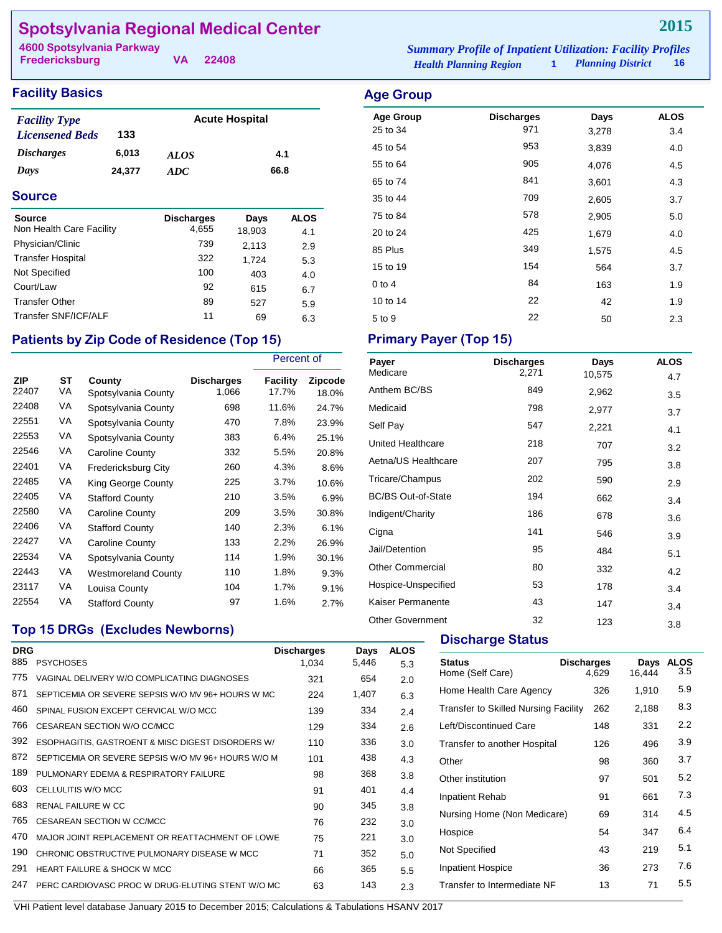# **Spotsylvania Regional Medical Center**

**Fredericksburg**

**VA 22408**

*Health Planning Region* **1** *Planning District* **16 4600 Spotsylvania Parkway** *Summary Profile of Inpatient Utilization: Facility Profiles*

#### **Facility Basics Age Group Age Group**

| <b>Facility Type</b>     |        | <b>Acute Hospital</b> |      |
|--------------------------|--------|-----------------------|------|
| <b>Licensened Beds</b>   | 133    |                       |      |
| <i><b>Discharges</b></i> | 6.013  | <b>ALOS</b>           | 4.1  |
| Days                     | 24.377 | ADC.                  | 66.8 |

#### **Source**

| Source                   | <b>Discharges</b><br>4.655 | Days   | <b>ALOS</b> |
|--------------------------|----------------------------|--------|-------------|
| Non Health Care Facility |                            | 18,903 | 4.1         |
| Physician/Clinic         | 739                        | 2,113  | 2.9         |
| <b>Transfer Hospital</b> | 322                        | 1.724  | 5.3         |
| Not Specified            | 100                        | 403    | 4.0         |
| Court/Law                | 92                         | 615    | 6.7         |
| <b>Transfer Other</b>    | 89                         | 527    | 5.9         |
| Transfer SNF/ICF/ALF     | 11                         | 69     | 6.3         |

## Patients by Zip Code of Residence (Top 15) Primary Payer (Top 15)

|                     |          |                               |                            | Percent of        |                  |
|---------------------|----------|-------------------------------|----------------------------|-------------------|------------------|
| <b>ZIP</b><br>22407 | SТ<br>VA | County<br>Spotsylvania County | <b>Discharges</b><br>1,066 | Facility<br>17.7% | Zipcode<br>18.0% |
| 22408               | VA       | Spotsylvania County           | 698                        | 11.6%             | 24.7%            |
| 22551               | VA       | Spotsylvania County           | 470                        | 7.8%              | 23.9%            |
| 22553               | VA       | Spotsylvania County           | 383                        | 6.4%              | 25.1%            |
| 22546               | VA       | Caroline County               | 332                        | 5.5%              | 20.8%            |
| 22401               | VA       | Fredericksburg City           | 260                        | 4.3%              | 8.6%             |
| 22485               | VA       | King George County            | 225                        | 3.7%              | 10.6%            |
| 22405               | VA       | <b>Stafford County</b>        | 210                        | 3.5%              | 6.9%             |
| 22580               | VA       | <b>Caroline County</b>        | 209                        | 3.5%              | 30.8%            |
| 22406               | VA       | <b>Stafford County</b>        | 140                        | 2.3%              | 6.1%             |
| 22427               | VA       | Caroline County               | 133                        | 2.2%              | 26.9%            |
| 22534               | VA       | Spotsylvania County           | 114                        | 1.9%              | 30.1%            |
| 22443               | VA       | <b>Westmoreland County</b>    | 110                        | 1.8%              | 9.3%             |
| 23117               | VA       | Louisa County                 | 104                        | 1.7%              | 9.1%             |
| 22554               | VA       | <b>Stafford County</b>        | 97                         | 1.6%              | 2.7%             |

### Age Group **Discharges** Days ALOS 25 to 34 971 3,278 3.4 45 to 54 3,839 4.0 55 to 64 and 55 to 64 and 55 to 64 and 50 and 50 and 50 and 50 and 50 and 50 and 50 and 50 and 50 and 50 and 5 65 to 74 and 10 and 10 and 10 and 10 and 10 and 10 and 10 and 10 and 10 and 10 and 10 and 10 and 10 and 10 and 1 35 to 44 2,605 3.7 75 to 84 **578** 2,905 5.0 20 to 24 **425** 1,679 **4.0** 85 Plus 249 1,575 4.5 15 to 19 154 564 3.7 0 to 4 163 1.9 10 to 14 22 42 1.9

 $5 \text{ to } 9$  22  $50$  2.3

| Payer                     | <b>Discharges</b> | Days   | <b>ALOS</b> |
|---------------------------|-------------------|--------|-------------|
| Medicare                  | 2,271             | 10,575 | 4.7         |
| Anthem BC/BS              | 849               | 2,962  | 3.5         |
| Medicaid                  | 798               | 2,977  | 3.7         |
| Self Pay                  | 547               | 2,221  | 4.1         |
| United Healthcare         | 218               | 707    | 3.2         |
| Aetna/US Healthcare       | 207               | 795    | 3.8         |
| Tricare/Champus           | 202               | 590    | 2.9         |
| <b>BC/BS Out-of-State</b> | 194               | 662    | 3.4         |
| Indigent/Charity          | 186               | 678    | 3.6         |
| Cigna                     | 141               | 546    | 3.9         |
| Jail/Detention            | 95                | 484    | 5.1         |
| <b>Other Commercial</b>   | 80                | 332    | 4.2         |
| Hospice-Unspecified       | 53                | 178    | 3.4         |
| Kaiser Permanente         | 43                | 147    | 3.4         |
| <b>Other Government</b>   | 32                | 123    | 3.8         |

# **Top 15 DRGs (Excludes Newborns)**

| <b>DRG</b><br>885 | <b>PSYCHOSES</b>                                   | <b>Discharges</b><br>1,034 | Days<br>5,446 | <b>ALOS</b><br>5.3 |
|-------------------|----------------------------------------------------|----------------------------|---------------|--------------------|
| 775               | VAGINAL DELIVERY W/O COMPLICATING DIAGNOSES        | 321                        | 654           | 2.0                |
| 871               | SEPTICEMIA OR SEVERE SEPSIS W/O MV 96+ HOURS W MC  | 224                        | 1,407         | 6.3                |
| 460               | SPINAL FUSION EXCEPT CERVICAL W/O MCC              | 139                        | 334           | 2.4                |
| 766               | CESAREAN SECTION W/O CC/MCC                        | 129                        | 334           | 2.6                |
| 392               | ESOPHAGITIS, GASTROENT & MISC DIGEST DISORDERS W/  | 110                        | 336           | 3.0                |
| 872               | SEPTICEMIA OR SEVERE SEPSIS W/O MV 96+ HOURS W/O M | 101                        | 438           | 4.3                |
| 189               | PULMONARY EDEMA & RESPIRATORY FAILURE              | 98                         | 368           | 3.8                |
| 603               | CELLULITIS W/O MCC                                 | 91                         | 401           | 4.4                |
| 683               | <b>RENAL FAILURE W CC</b>                          | 90                         | 345           | 3.8                |
| 765               | <b>CESAREAN SECTION W CC/MCC</b>                   | 76                         | 232           | 3.0                |
| 470               | MAJOR JOINT REPLACEMENT OR REATTACHMENT OF LOWE    | 75                         | 221           | 3.0                |
| 190               | CHRONIC OBSTRUCTIVE PULMONARY DISEASE W MCC        | 71                         | 352           | 5.0                |
| 291               | <b>HEART FAILURE &amp; SHOCK W MCC</b>             | 66                         | 365           | 5.5                |
| 247               | PERC CARDIOVASC PROC W DRUG-ELUTING STENT W/O MC   | 63                         | 143           | 2.3                |
|                   |                                                    |                            |               |                    |

### **Discharge Status**

| <b>Status</b><br>Home (Self Care)    | <b>Discharges</b><br>4,629 | Days<br>16,444 | <b>ALOS</b><br>3.5 |
|--------------------------------------|----------------------------|----------------|--------------------|
| Home Health Care Agency              | 326                        | 1,910          | 5.9                |
| Transfer to Skilled Nursing Facility | 262                        | 2,188          | 8.3                |
| Left/Discontinued Care               | 148                        | 331            | 2.2                |
| Transfer to another Hospital         | 126                        | 496            | 3.9                |
| Other                                | 98                         | 360            | 3.7                |
| Other institution                    | 97                         | 501            | 5.2                |
| Inpatient Rehab                      | 91                         | 661            | 7.3                |
| Nursing Home (Non Medicare)          | 69                         | 314            | 4.5                |
| Hospice                              | 54                         | 347            | 6.4                |
| Not Specified                        | 43                         | 219            | 5.1                |
| <b>Inpatient Hospice</b>             | 36                         | 273            | 7.6                |
| Transfer to Intermediate NF          | 13                         | 71             | 5.5                |